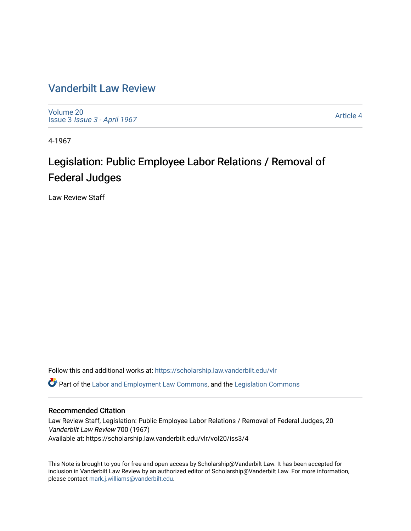# [Vanderbilt Law Review](https://scholarship.law.vanderbilt.edu/vlr)

[Volume 20](https://scholarship.law.vanderbilt.edu/vlr/vol20) Issue 3 [Issue 3 - April 1967](https://scholarship.law.vanderbilt.edu/vlr/vol20/iss3)

[Article 4](https://scholarship.law.vanderbilt.edu/vlr/vol20/iss3/4) 

4-1967

# Legislation: Public Employee Labor Relations / Removal of Federal Judges

Law Review Staff

Follow this and additional works at: [https://scholarship.law.vanderbilt.edu/vlr](https://scholarship.law.vanderbilt.edu/vlr?utm_source=scholarship.law.vanderbilt.edu%2Fvlr%2Fvol20%2Fiss3%2F4&utm_medium=PDF&utm_campaign=PDFCoverPages) **C** Part of the [Labor and Employment Law Commons](http://network.bepress.com/hgg/discipline/909?utm_source=scholarship.law.vanderbilt.edu%2Fvlr%2Fvol20%2Fiss3%2F4&utm_medium=PDF&utm_campaign=PDFCoverPages), and the Legislation Commons

# Recommended Citation

Law Review Staff, Legislation: Public Employee Labor Relations / Removal of Federal Judges, 20 Vanderbilt Law Review 700 (1967) Available at: https://scholarship.law.vanderbilt.edu/vlr/vol20/iss3/4

This Note is brought to you for free and open access by Scholarship@Vanderbilt Law. It has been accepted for inclusion in Vanderbilt Law Review by an authorized editor of Scholarship@Vanderbilt Law. For more information, please contact [mark.j.williams@vanderbilt.edu.](mailto:mark.j.williams@vanderbilt.edu)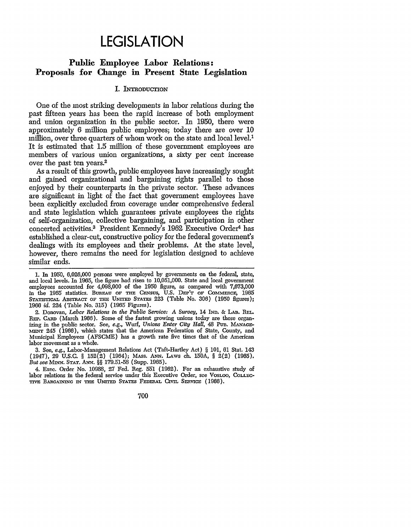# **LEGISLATION**

# **Public Employee Labor Relations: Proposals for Change in Present State Legislation**

#### **I. INTRODUCTION**

One of the most striking developments in labor relations during the past fifteen years has been the rapid increase of both employment and union organization in the public sector. In 1950, there were approximately 6 million public employees; today there are over **10** million, over three quarters of whom work on the state and local level.<sup>1</sup> It is estimated that 1.5 million of these government employees are members of various union organizations, a sixty per cent increase over the past ten years.2

As a result of this growth, public employees have increasingly sought and gained organizational and bargaining rights parallel to those enjoyed by their counterparts in the private sector. These advances are significant in light of the fact that government employees have been explicitly excluded from coverage under comprehensive federal and state legislation which guarantees private employees the rights of self-organization, collective bargaining, and participation in other concerted activities.3 President Kennedy's 1962 Executive Order4 has established a clear-cut, constructive policy for the federal government's dealings with its employees and their problems. At the state level, however, there remains the need for legislation designed to achieve similar ends.

2. Donovan, *Labor Relations in the Public Service: A Survey,* 14 **IND. & LAD. RtL. REP.** CARD (March 1966). Some of the fastest growing unions today are those organizing in the public sector. See, *e.g.,* Wurf, *Unions Enter City Hall,* 48 Pun. MANAcE- MENT 245 (1966), which states that the American Federation of State, County, and Municipal Employees (AFSCME) has a growth rate five times that of the American labor movement as a whole.

3. See, *e.g.,* Labor-Management Relations Act (Taft-Hartley Act) § 101, 61 Stat. 143 (1947), **29 U.S.C.** § **152(2)** (1964); MAss. **ANN.** LAws ch. **150A,** § 2(2) (1965). *But see* MIN. **STAT. ANN.** §§ 179.51-58 (Supp. 1965).

4. Exec. Order No. 10988, 27 Fed. Reg. 551 (1962). For an exhaustive study of labor relations in the federal service under this Executive Order, see VOSLOO, **COLLEC-**TIVE **BARcANING** IN THE **UNITED STATES** FEDERAL CIVIL SERVICE (1966).

700

**<sup>1.</sup>** In 1950, 6,026,000 persons were employed by governments on the federal, state, and local levels. In 1965, the figure had risen to 10,051,000. State and local government employees accounted for 4,098,000 of the 1950 figure, as compared with 7,673,000 in the 1965 statistics. BUREAU OF THE CENSUS, U.S. DEP'T OF COMMERCE, 1965 **STATSTICAL** ABSTRACT OF **THE UN= STATES** 223 (Table No. 306) (1950 figures); 1966 *id.* 224 (Table No. 315) (1965 Figures).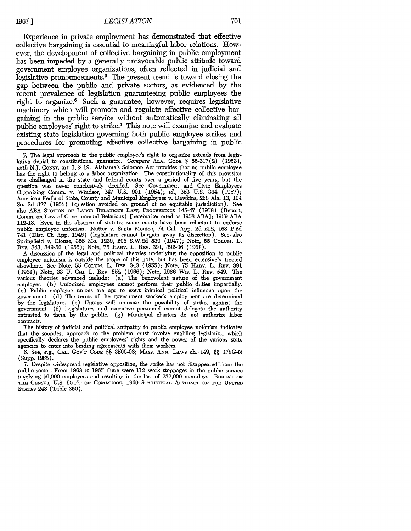Experience in private employment has demonstrated that effective collective bargaining is essential to meaningful labor relations. However, the development of collective bargaining in public employment has been impeded by a generally unfavorable public attitude toward government employee organizations, often reflected in judicial and legislative pronouncements.5 The present trend is toward closing the gap between the public and private sectors, as evidenced by the recent prevalence of legislation guaranteeing public employees the right to organize.6 Such a guarantee, however, requires legislative machinery which will promote and regulate effective collective bargaining in the public service without automatically eliminating all public employees' right to strike.7 This note will examine and evaluate existing state legislation governing both public employee strikes and procedures for promoting effective collective bargaining in public

**A** discussion of the legal and political theories underlying the opposition to public employee unionism is outside the scope of this note, but has been extensively treated elsewhere. See Note, 55 Colum. L. REv. 343 (1955); Note, 75 HARv. L. REv. 391 (1961); Note, 33 U. Cm. L. REv. **852** (1966); Note, 1966 Wis. L. **REv.** 549. The various theories advanced include: (a) The benevolent nature of the government employer. (b) Unionized employees cannot perform their public duties impartially. (c) Public employee unions are apt to exert inimical political influence upon the government. (d) The terms of the government worker's employment are determined by the legislature. (e) Unions will increase the possibility of strikes against the government. (f) Legislatures and executive personnel cannot delegate the authority entrusted to them by the public. (g) Municipal charters do not authorize labor contracts.

The history of judicial and political antipathy to public employee unionism indicates that the soundest approach to the problem must involve enabling legislation which specifically declares the public employees' rights and the power of the various state agencies to enter into binding agreements with their workers.

6. See, *e.g.,* **CAL.** GOV'T **CODE** §§ 3500-08; MAss. **ANN.** LAWS ch- 149, §§ 178G-N **(Supp.** 1965).

7. Despite widespread legislative opposition, the strike has not disappeared"from the public sector. From 1963 to 1965 there were 112 work stoppages in the public service involving 50,000 employees and resulting in the loss of 232,000 man-days. BUREAu OF THE CENSUS, U.S. DEP'T OF COMMERCE, 1966 STATISTICAL ABSTRACT OF THE UNITED STATES 248 (Table 350).

<sup>5.</sup> The legal approach to the public employee's right to organize extends from legislative denial to constitutional guarantee. Compare ALA. Cope § 55-317(2) (1953), with N.J. Consr. art. I, § 19. Alabama's Solomon Act provides that no public employee has the right to belong to a labor organization. The constitutionality of this provision was challenged in the state and federal courts over a period of five years, but the question was never conclusively decided. See Government and Civic Employees Organizing Comm. v. Windsor, 347 U.S. 901 (1954); *id.,* 353 U.S. 364 (1957); American Fed'n of State, County and Municipal Employees v. Dawkins, 268 Ala. 13, 104 So. 2d 827 (1958) (question avoided on ground of no equitable jurisdiction). See also ABA SECTION OF LABOR RELATIONS LAW, PROCEEDINGS 145-47 (1958) (Report, Comm. on Law of Governmental Relations) [hereinafter cited as 1958 ABA]; 1959 **ABA** 112-13. Even in the absence of statutes some courts have been reluctant to endorse public employee unionism. Nutter v. Santa Monica, 74 Cal. App. 2d 292, 168 P.2d 741 (Dist. Ct. App. 1946) (legislature cannot bargain away its discretion). See. also Springfield v. Clouse, 356 Mo. 1239, 206 S.W.2d 539 (1947); Note, 55 CoLuM. L. REv. 343, 349-50 (1955); Note, 75 HAnv. L. REv. 391, 392-96 (1961).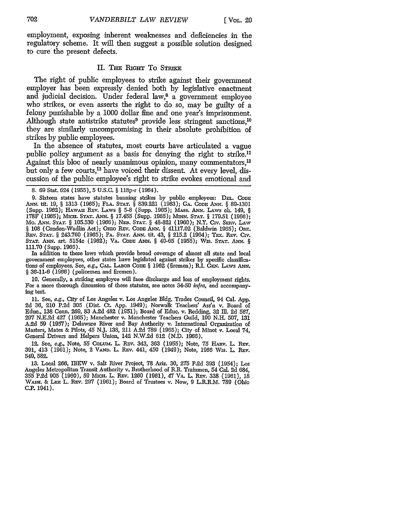employment, exposing inherent weaknesses and deficiencies in the regulatory scheme. It will then suggest a possible solution designed to cure the present defects.

#### II. THE RIGHT TO STRIKE

The right of public employees to strike against their government employer has been expressly denied both by legislative enactment and judicial decision. Under federal law,<sup>8</sup> a government employee who strikes, or even asserts the right to do so, may be guilty of a felony punishable by a 1000 dollar fine and one year's imprisonment. Although state antistrike statutes<sup>9</sup> provide less stringent sanctions,<sup>10</sup> they are similarly uncompromising in their absolute prohibition of strikes by public employees.

In the absence of statutes, most courts have articulated a vague public policy argument as a basis for denying the right to strike.<sup>11</sup> Against this bloc of nearly unanimous opinion, many commentators.<sup>12</sup> but only a few courts,<sup>13</sup> have voiced their dissent. At every level, discussion of the public employee's right to strike evokes emotional and

In addition to these laws which provide broad coverage of almost all state and local government employees, other states have legislated against strikes by specific classifications of employees. See, *e.g.,* CAL. **LABOR** CODE § 1962 (firemen); R.I. GEN. LAws **ANN.** *§* 36-11-6 (1966) (policemen and firemen).

10. Generally, a striking employee will face discharge and loss of employment rights. For a more thorough discussion of these statutes, see notes 34-50 *infra,* and accompanying text.

**11.** See, *e.g.,* City of Los Angeles v. Los Angeles **Bldg.** Trades Council, 94 Cal. **App. 2d** 36, 210 P.2d **305** (Dist. **CL** App. 1949); Norwalk Teachers' Ass'n v. Board of Edue., **138** Conn. 269, 83 A.2d 482 (1951); Board of Educ. v. Bedding, **32** Ill. **2d** 567, **207** N.E.2d 427 (1965); Manchester v. Manchester Teachers Guild, **100 N.H.** 507, **131 A.2d** 59 (1957); Delaware River and Bay Authority v. International Organization of Masters, Mates & Pilots, 45 N.J. **138,** 211 A.2d 789 (1965); City of Minot v. Local 74, General Drivers and Helpers Union, 142 N.W.2d **612** (N.D. 1966).

12. See, *e.g.,* Note, 55 **COLum.** L. RPv. 343, 363 (1955); Note, **75** HAnv. L. **REv. 391,** 413 (1961); Note, 2 VAND. L. REv. 441, 450 (1949); Note, 1966 Wis. L. REv. 549, 582.

**13.** Local 266, IBEW v. Salt River Project, **78** Ariz. **30, 275 P.2d 393** (1954); Los Angeles Metropolitan Transit Authority v. Brotherhood of R.R. Trainmen, 54 Cal. **2d** 684, 355 P.2d 905 (1960), 59 Mici. L. REv. 1260 (1961), 47 VA. L. rEv. **338** (1961), 18 WASH. & LEE L. REV. 297 (1961); Board of Trustees v. Now, 9 L.R.R.M. 789 (Ohio **C.P.** 1941).

<sup>8. 69</sup> Stat. 624 (1955), 5 U.S.C. § 118p-r (1964).

<sup>9.</sup> Sixteen states have statutes banning strikes by public employees: **DEL. CODE** *A x.* tit. 19, § 1313 (1965); **FLA. STAT.** § 839.221 (1963); GA. CoDE ANN. *§* 89-1301 (Supp. 1962); *HAwAx* REv. LAws § 5-8 (Supp. 1965); MAss. *ANN.* LAWS ch. 149, § 178F (1965); Mrcu. **STAT. ANN.** § 17.455 (Supp. 1965); MINN. **STAT.** § 179.51 (1966); Mo. *ANN.* **STAT.** § 105.530 (1966); NEB. **STAT.** § 48-821 (1960); N.Y. Civ. Snav. LAw § 108 (Condon-Wadlin Act); Omo Rev. Code ANN. § 41117.02 (Baldwin 1965); ORE. REV. STAT. § 243.760 (1965); PA. STAT. ANN. tit. 43, § 215.2 (1964); TEX. REV. CIV. **STAT. ANN.** art. 5154c (1962); VA. **CoDE** *ANN. §* 40-65 (1955); Wis. **STAT.** ANN. *§* 111.70 (Supp. 1966).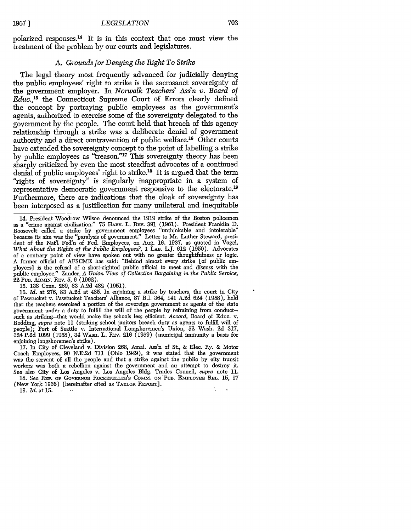polarized responses. 14 It is in this context that one must view the treatment of the problem by our courts and legislatures.

#### *A. Grounds for Denying the Right To Strike*

The legal theory most frequently advanced for judicially denying the public employees' right to strike is the sacrosanct sovereignty of the government employer. In *Norwalk Teachers' Ass'n v. Board of Educ.,15* the Connecticut Supreme Court of Errors clearly defined the concept by portraying public employees as the government's agents, authorized to exercise some of the sovereignty delegated to the government by the people. The court held that breach of this agency relationship through a strike was a deliberate denial of government authority and a direct contravention of public welfare.<sup>16</sup> Other courts have extended the sovereignty concept to the point of labelling a strike by public employees as "treason."<sup>17</sup> This sovereignty theory has been sharply criticized by even the most steadfast advocates of a continued denial of public employees' right to strike.<sup>18</sup> It is argued that the term "rights of sovereignty" is singularly inappropriate in a system of representative democratic government responsive to the electorate.<sup>19</sup> Furthermore, there are indications that the cloak of sovereignty has been interposed as a justification for many unilateral and inequitable

14. President Woodrow Wilson denounced the 1919 strike of the Boston policemen as a "crime against civilization." 75 HARV. L. REV. 391 (1961). President Franklin D. Roosevelt called a strike by government employees "unthinkable and intolerable" because its aim was the "paralysis of government." Letter to Mr. Luther Steward, president of the Natl Fed'n of Fed. Employees, on Aug. 16, 1937, as quoted in Vogel, *What About the Rights of the Public Employees?,* 1 LAB. L.J. 612 (1950). Advocates of a contrary point of view have spoken out with no greater thoughtfulness or logic. A former official of AFSCME has said: "Behind almost every strike [of public employees] is the refusal of a short-sighted public official to meet and discuss with the public employee." Zander, *A Union View of Collective Bargaining in the Public Service,* 22 Pu. ADMit. REv. 5, 6 (1962).

15. 138 Conn. 269, 83 A.2d 482 (1951).

16. *Id.* at 276, 83 A.2d at 485. In enjoining a strike by teachers, the court in City of Pawtucket v. Pawtucket Teachers' Alliance, 87 R.I. 364, 141 A.2d 624 (1958), held that the teachers exercised a portion of the sovereign government as agents of the state government under a duty to fulfill the will of the people by refraining from conductsuch as striking-that would make the schools less efficient. *Accord,* Board of Educ. v. Redding, *supra* note 11 (striking school janitors breach duty as agents to fulfill will of people); Port of Seattle v. International Longshoremen's Union, 52 Wash. 2d 317, 324 **P. d** 1099 (1958), 34 WAsH. L. RFv. 216 (1959) (municipal immunity a basis for enjoining longshoremen's strike).

17. In City of Cleveland v. Division 268, Arnal. Ass'n of St., & Elec. Ry. & Motor Coach Employees, 90 N.E.2d 711 (Ohio 1949), it was stated that the government was the servant of all the people and that a strike against the public by city transit workers was both a rebellion against the government and an attempt to destroy it. See also City of Los Angeles v. Los Angeles Bldg. Trades Council, *supra* note 11. 18. Sec REP. OF GOVERNOR ROCKEFELLER'S COMM. ON PUB. EMPLOYEE REL. 15, 17

(New York 1966) [hereinafter cited as TAYLOR **REPORT]. 19.** *Id.* at 15.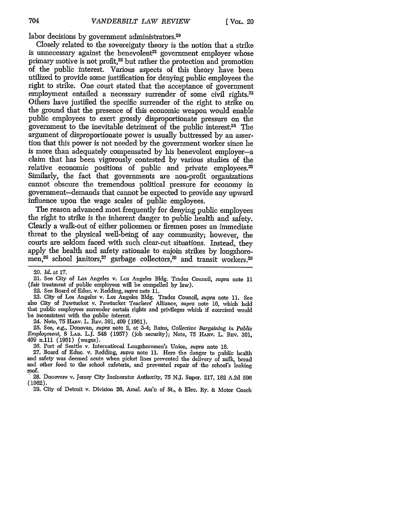labor decisions by government administrators. $20$ 

Closely related to the sovereignty theory is the notion that a strike is unnecessary against the benevolent<sup>21</sup> government employer whose primary motive is not profit,<sup>22</sup> but rather the protection and promotion of the public interest. Various aspects of this theory have been utilized to provide some justification for denying public employees the right to strike. One court stated that the acceptance of government employment entailed a necessary surrender of some civil rights.<sup>23</sup> Others have justified the specific surrender of the right to strike on the ground that the presence of this economic weapon would enable public employees to exert grossly disproportionate pressure on the government to the inevitable detriment of the public interest.<sup>24</sup> The argument of disproportionate power is usually buttressed by an assertion that this power is not needed by the government worker since he is more than adequately compensated by his benevolent employer-a claim that has been vigorously contested by various studies of the relative economic positions of public and private employees.<sup>25</sup> Similarly, the fact that governments are non-profit organizations cannot obscure the tremendous political pressure for economy in government-demands that cannot be expected to provide any upward influence upon the wage scales of public employees.

The reason advanced most frequently for denying public employees the right to strike is the inherent danger to public health and safety. Clearly a walk-out of either policemen or firemen poses an immediate threat to the physical well-being of any community; however, the courts are seldom faced with such clear-cut situations. Instead, they apply the health and safety rationale to enjoin strikes by longshoremen,<sup>26</sup> school janitors,<sup>27</sup> garbage collectors,<sup>28</sup> and transit workers.<sup>29</sup>

22. See Board of Educ. v. Redding, supra note 11.

23. City of Los Angeles v. Los Angeles Bldg. Trades Council, *Supra* note 11. See also City of Pawtucket v. Pawtucket Teachers' Alliance, supra note **16,** which held that public employees surrender certain rights and privileges which if exercised would be inconsistent with the public interest.

24. Note, 75 HARV. L. REV. 391, 409 (1961).

25. See, e.g., Donovan, supra note 2, at 3-4; Rains, Collective Bargaining *in Public Employment,* 8 **LAB.** L.J. 548 (1957) (job security); Note, 75 HArv. L. **REv.** 391, 409 n.111 (1961) (wages).

26. Port of Seattle v. International Longshoremen's Union, *supra* note **16.**

27. Board of Educ. v. Redding, *supra* note 11. Here the danger to public health and safety was deemed acute when picket lines prevented the delivery of milk, bread and other food to the school cafeteria, and prevented repair of the school's leaking roof.

**28.** Donevero v. Jersey City Incinerator Authority, 75 **NJ.** Super. **217, 182** A,2d **596 (1962).**

29. City of Detroit v. Division 26, Amal. Ass'n of St., & Elec. Ry. & Motor Coach

<sup>20.</sup> *Id.* at 17.

<sup>21.</sup> See City of Los Angeles v. Los Angeles Bldg. Trades Council, supra note 11 (fair treatment of public employees will be compelled by law).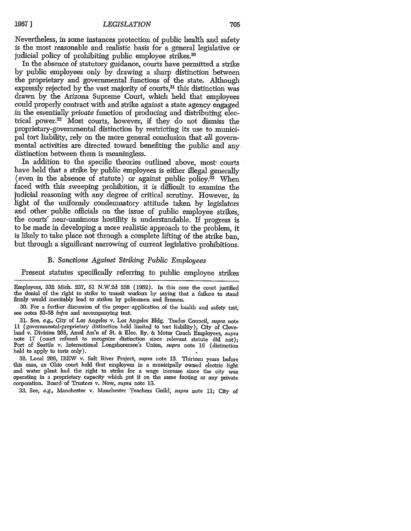Nevertheless, in some instances protection of public health and safety is the most reasonable and realistic basis for a general legislative or judicial policy of prohibiting public employee strikes.<sup>30</sup>

In the absence of statutory guidance, courts have permitted a strike by public employees only by drawing a sharp distinction between the proprietary and governmental functions of the state. Although expressly rejected by the vast majority of courts,<sup>31</sup> this distinction was drawn by the Arizona Supreme Court, which held that employees could properly contract with and strike against a state agency engaged in the essentially *private* function of producing and distributing electrical power.32 Most courts, however, if they do not dismiss the proprietary-governmental distinction by restricting its use to municipal tort liability, rely on the more general conclusion that *all* governmental activities are directed toward benefiting the public and any distinction between them is meaningless.

In addition to the specific theories outlined above, most courts have held that a strike by public employees is either illegal generally (even in the absence of statute) or against public policy. $33$  When faced with this sweeping prohibition, it is difficult to examine the judicial reasoning with any degree of critical scrutiny. However, in light of the uniformly condemnatory attitude taken by legislators and other public officials on the issue of public employee strikes, the courts' near-uanimous hostility is understandable. If progress is to be made in developing a more realistic approach to the problem, it is likely to take place not through a complete lifting of the strike ban, but through a significant narrowing of current legislative prohibitions.

#### *B. Sanctions Against Striking Public Employees*

Present statutes specifically referring to public employee strikes

Employees, 332 Mich. 237, 51 N.W.2d 228 (1952). In this case the court justified the denial of the right to strike to transit workers by saying that a failure to stand firmly would inevitably lead to strikes by policemen and firemen.

30. For a further discussion of the proper, application *,of* the -health and safety test, see notes 53-58 *infra* and -accompanying- text

31. See, *e.g.,* City of Los Angeles v. Los Angeles Bldg. Trades Council, *supra* note 11 (governmental-proprietary distinction held limited to tort liability); City of Cleveland v. Division 268, Amal Ass'n of St. & Elec. Ry. & Motor Coach Employees, *supra* note 17 (court refused to recognize distinction since relevant statute did not); Port of Seattle v. International Longshoremen's Union, *supra* note 16 (distinction held to apply to torts only).

32. Local 266, IBEW v. Salt River Project, *supra* note 13. Thirteen years before this case, an Ohio court held that employees in a municipally owned electric light and water plant had the right to strike for a wage increase since the city was operating in a proprietary capacity which put it on the same footing as any private corporation. Board of Trustees v. Now, *supra* note 13.

33. See, e.g., Manchester v. Manchester Teachers Guild; *supra* note 11; City of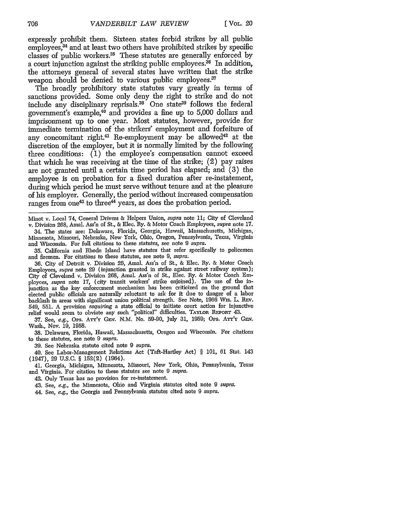expressly prohibit them. Sixteen states forbid strikes by all public  $emploves<sup>34</sup>$  and at least two others have prohibited strikes by specific classes of public workers.<sup>35</sup> These statutes are generally enforced by a court injunction against the striking public employees.<sup>36</sup> In addition, the attorneys general of several states have written that the strike weapon should be denied to various public employees.<sup>37</sup>

The broadly prohibitory state statutes vary greatly in terms of sanctions provided. Some only deny the right to strike and do not include any disciplinary reprisals.<sup>38</sup> One state<sup>39</sup> follows the federal government's example,<sup>40</sup> and provides a fine up to 5,000 dollars and imprisonment up to one year. Most statutes, however, provide for immediate termination of the strikers' employment and forfeiture of any concomitant right.<sup>41</sup> Re-employment may be allowed<sup>42</sup> at the discretion of the employer, but it is normally limited by the following three conditions:  $(1)$  the employee's compensation cannot exceed that which he was receiving at the time of the strike; (2) pay raises are not granted until a certain time period has elapsed; and (3) the employee is on probation for a fixed duration after re-instatement, during which period he must serve without tenure and at the pleasure of his employer. Generally, the period without increased compensation ranges from one<sup>43</sup> to three<sup>44</sup> years, as does the probation period.

Minot v. Local 74, General Drivers & Helpers Union, *supra* note 11; City of Cleveland v. Division 268, Amal. Ass'n of St., & Elec. Ry. & Motor Coach Employees, *supra* note 17. 34. The states are: Delaware, Florida, Georgia, Hawaii, Massachusetts, Michigan, Minnesota, Missouri, Nebraska, New York, Ohio, Oregon, Pennsylvania, Texas, Virginia

and Wisconsin. For full citations to these statutes, see note 9 *supra.* 35. California and Rhode Island have statutes that refer specifically to policemen and firemen. For citations to these statutes, see note 9, *supra.*

36. City of Detroit v. Division 26, Amal. Ass'n of St., & Elec. Ry. & Motor Coach Employees, *supra* note 29 (injunction granted in strike against street railway system); City of Cleveland v. Division 268, Amal. Ass'n of St., Elec. Ry. & Motor Coach Employces, *supra* note 17, (city transit workers' strike enjomed). The use of the injunction as the key enforcement mechanism has been criticized on the ground that elected public officials are naturally reluctant to ask for it due to danger of a labor backlash in areas with significant union political strength. See Note, 1966 Wis. L. REv. 549, 551. A provision *requiring* a state official to initiate court action for injunctive relief would seem to obviate any such "political" difficulties. **TAYLOR REPonT** 43.

37. See, e.g., Ops. ATT'Y GEN. N.M. No. 59-90, July 31, 1959; Ops. ATT'Y GEN. Wash., Nov. 19, 1958.

38. Delaware, Florida, Hawaii, Massachusetts, Oregon and Wisconsin. For citations to these statutes, see note 9 *supra.*

39. See Nebraska statute cited note 9 *supra.*

40. See Labor-Management Relations Act (Taft-Hartley Act) § 101, 61 Stat. 143 (1947), 29 U.S.C. § 152(2) (1964).

41. Georgia, Michigan, Minnesota, Missouri, New York, Ohio, Pennsylvania, Texas and Virginia. For citation to these statutes see note 9 *supra.*

42. Only Texas has no provision for re-instatement.

43. See, *e.g.,* the Minnesota, Ohio and Virginia statutes cited note 9 *supra.*

44. See, *e.g.,* the Georgia and Pennsylvania statutes cited note 9 *supra.*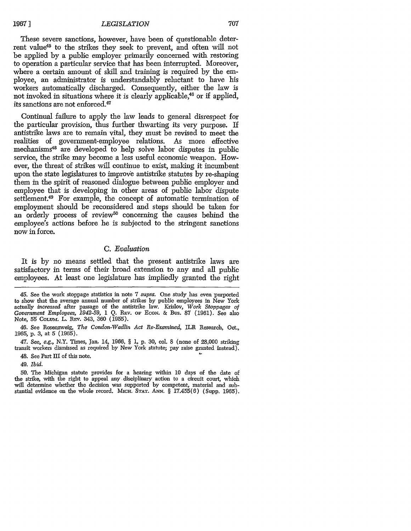These severe sanctions, however, have been of questionable deterrent value<sup>45</sup> to the strikes they seek to prevent, and often will not be applied by a public employer primarily concerned with restoring to operation a particular service that has been interrupted. Moreover, where a certain amount of skill and training is required by the employee, an administrator is understandably reluctant to have his workers automatically discharged. Consequently, either the law is not invoked in situations where it is clearly applicable,<sup>46</sup> or if applied, its sanctions are not enforced.47

Continual failure to apply the law leads to general disrespect for the particular provision, thus further thwarting its very purpose. If antistrike laws are to remain vital, they must be revised to meet the realities of government-employee relations. As more effective mechanisms 48 are developed to help solve labor disputes in public service, the strike may become a less useful economic weapon. However, the threat of strikes will continue to exist, making it incumbent upon the state legislatures to improve antistrike statutes by re-shaping them in the spirit of reasoned dialogue between public employer and employee that is developing in other areas of public labor dispute settlement.<sup>49</sup> For example, the concept of automatic termination of employment should be reconsidered and steps should be taken for an orderly process of review<sup>50</sup> concerning the causes behind the employee's actions before he is subjected to the stringent sanctions now in force.

## *C. Evaluation*

It is by no means settled that the present antistrike laws are satisfactory in terms of their broad extension to any and all public employees. At least one legislature has impliedly granted the right

46. See Rosenzweig, *The Condon-Wadlin Act Re-Examined,* ILR Research, Oct., 1965, p. 3, at 5 (1965).

47. See, *e.g.,* N.Y. Times, Jan. 14, 1966, § 1, p. 30, col 8 (none of 28,000 striking transit workers dismissed as required by New York statute; pay raise granted instead).

48. See Part III of this note.

49. *Ibid.*

50. The Michigan statute provides for a hearing within 10 days of the date of the strike, with the right to appeal any disciplinary action to a circuit court, which will determine whether the decision was supported by competent, material and substantial evidence on the whole record. **MicH. STAT.** ANN. § 17.455(6) (Supp. 1965).

<sup>45.</sup> See the work stoppage statistics in note 7 supra. One study has even purported to show that the average annual number of strikes by public employees in New York actually *increased* after passage of the antistrike law. Krislov, *Work Stoppages of Government Employees, 1942-59,* 1 Q. REv. OF ECON. & Bus. 87 (1961). See also Note, 55 Colum. L. Rev. 343, 360 (1955).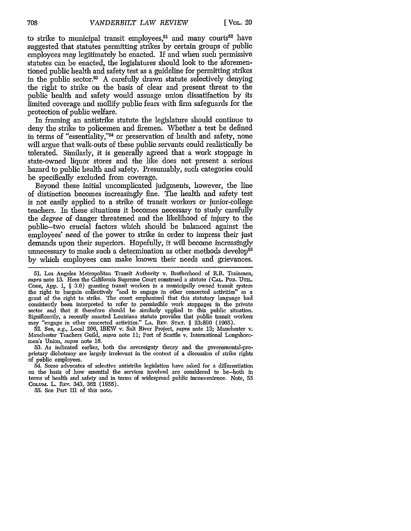to strike to municipal transit employees,<sup>51</sup> and many courts<sup>52</sup> have suggested that statutes permitting strikes by certain groups of public employees *may* legitimately be enacted. If and when such permissive statutes can be enacted, the legislatures should look to the aforementioned public health and safety test as a guideline for permitting strikes in the public sector.<sup>53</sup> A carefully drawn statute selectively denying the right to strike on the basis of clear and present threat to the public health and safety would assuage union dissatifaction by its limited coverage and mollify public fears with firm safeguards for the protection of public welfare.

In framing an antistrike statute the legislature should continue to deny the strike to policemen and firemen. Whether a test be defined in terms of "essentiality,"<sup>54</sup> or preservation of health and safety, none will argue that walk-outs of these public servants could realistically be tolerated. Similarly, it is generally agreed that a work stoppage in state-owned liquor stores and the like does not present a serious hazard to public health and safety. Presumably, such categories could be specifically excluded from coverage.

Beyond these initial uncomplicated judgments, however, the line of distinction becomes increasingly fine. The health and safety test is not easily applied to a strike of transit workers or junior-college teachers. In these situations it becomes necessary to study carefully the *degree* of danger threatened and the likelihood of injury to the public-two crucial factors which should be balanced against the employees' *need* of the power to strike in order to impress their just demands upon their superiors. Hopefully, it will become increasingly unnecessary to make such a determination as other methods develop<sup>55</sup> by which employees can make known their needs and grievances.

52. See, e.g., Local 266, IBEW v. Salt River Project, supra note **13;** Manchester v. Manchester Teachers Guild, supra note 11; Port of Seattle v. International Longshoremen's Union, supra note 16.

53. As indicated earlier, both the sovereignty theory and the governmental-proprietary dichotomy are largely irrelevant in the context of a discussion of strike rights of public employees.

54. Some advocates of selective antistrike legislation have asked for a differentiation on the basis of how essential the services involved are considered to be-both in terms of health and safety and in terms of widespread public inconvenience. Note, 55 COLUM. L. REV. 343, **362** (1955).

55. See Part III of this note.

 $708 -$ 

<sup>51.</sup> Los Angeles Metropolitan Transit Authority v. Brotherhood of R.R. Trainmen, supra note 13. Here the California Supreme Court construed a statute (CAL. PUB. UTIL. CoDE, App. 1, § 3.6) granting transit workers in a municipally owned transit system the right to bargain collectively "and to engage in other concerted activities" as a grant of the right to strike. The court emphasized that this statutory language had consistently been interpreted to refer to permissible work stoppages in the private sector and that it therefore should be similarly applied to this public situation. Significantly, a recently enacted Louisiana statute provides that public transit workers may "engage in other concerted activities." **LA.** REv. **STAT.** § 23:890 (1965).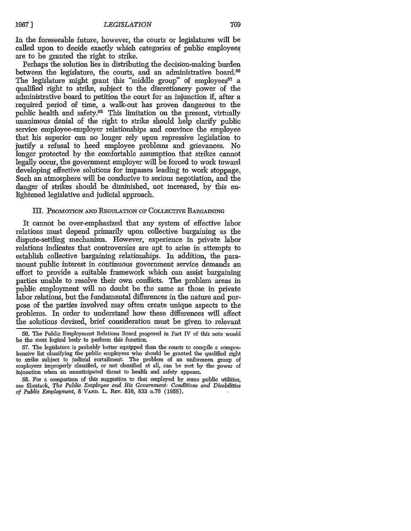In the foreseeable future, however, the courts or legislatures will be called upon to decide exactly which categories of public employees are to be granted the right to strike.

Perhaps the solution lies in distributing the decision-making burden between the legislature, the courts, and an administrative board.<sup>56</sup> The legislature might grant this "middle group" of employees<sup>57</sup> a qualified right to strike, subject to the discretionery power of the administrative board to petition the court for an injunction if, after a required period of time, a walk-out has proven dangerous to the public health and safety.<sup>58</sup> This limitation on the present, virtually unanimous denial of the right to strike should help clarify public service employee-employer relationships and convince the employee that his superior can no longer rely upon repressive legislation to justify a refusal to heed employee problems and grievances. No longer protected by the comfortable assumption that strikes cannot legally occur, the government employer will be forced to work toward developing effective solutions for impasses leading to work stoppage. Such an atmosphere will be conducive to serious negotiation, and the danger of strikes should be diminished, not increased, by this enlightened legislative and judicial approach.

#### III. **PROMOTION** AND **REGiLATION** OF COLLECnVE **BARGANImG**

It cannot be over-emphasized that any system of effective labor relations must depend primarily upon collective bargaining as the dispute-settling mechanism. However, experience in private labor relations indicates that controversies are apt to arise in attempts to establish collective bargaining relationships. In addition, the paramount public interest in continuous government service demands an effort to provide a suitable framework which can assist bargaining parties unable to resolve their own conflicts. The problem areas in public employment will no doubt be the same as those in private labor relations, but the fundamental differences in the nature and purpose of the parties involved may often create unique aspects to the problems. In order to understand how these differences will affect the solutions devised, brief consideration must be given to relevant

<sup>56.</sup> The Public Employment Relations Board proposed in Part IV of this note would be the most logical body to perform this function.

<sup>57.</sup> The legislature is probably better equipped than the courts to compile a comprehensive list classifying the public employees who should be granted the qualified right to strike subject to judicial curtailment. The problem of an unforeseen group of employees improperly classified, or not classified at all, can be met by the power of injunction when an unanticipated threat to health and safety appears.

<sup>58.</sup> For a comparison of this suggestion to that employed by some public utilities, see Shestack, *The Public Employee and His Government: Conditions and Disabilities of Public Employment, 8 VAND. L. REV. 816, 833 n.76 (1955).*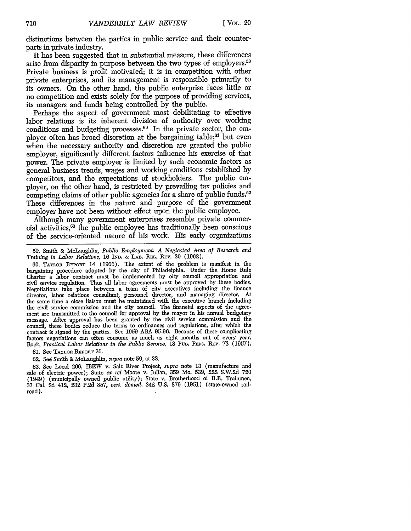distinctions between the parties in public service and their counterparts in private industry.

It has been suggested that in substantial measure, these differences arise from disparity in purpose between the two types of employers.<sup>50</sup> Private business is profit motivated; it is in competition with other private enterprises, and its management is responsible primarily to its owners. On the other hand, the public enterprise faces little or no competition and exists solely for the purpose of providing services, its managers and funds being controlled by the public.

Perhaps the aspect of government most debilitating to effective labor relations is its inherent division of authority over working conditions and budgeting processes. $60$  In the private sector, the employer often has broad discretion at the bargaining table;<sup>61</sup> but even when the necessary authority and discretion are granted the public employer, significantly different factors influence his exercise of that power. The private employer is limited by such economic factors as general business trends, wages and working conditions established by competitors, and the expectations of stockholders. The public employer, on the other hand, is restricted by prevailing tax policies and competing claims of other public agencies for a share of public funds.<sup>62</sup> These differences in the nature and purpose of the government employer have not been without effect upon the public employee.

Although many government enterprises resemble private commercial activities, 63 the public employee has traditionally been conscious of the service-oriented nature of his work. His early organizations

59. Smith & McLaughlin, *Public Employment: A Neglected Area of Research and Training in Labor Relations, 16 IND. & LAB. REL. REV. 30 (1962).* 

60. TAYLOR REPORT 14 (1966). The extent of the problem is manifest in the bargaining procedure adopted by the city of Philadelphia. Under the Home Rule Charter a labor contract must be implemented **by** city council appropriation and civil service regulation. Thus all labor agreements must be approved **by** these bodies. Negotiations take place between a team of city executives including the finance director, labor relations consultant, personnel director, and managing director. At the same time a close liaison must be maintained with the executive branch including the civil service commission and the city council. The financial aspects of the agreement are transmitted to the council for approval **by** the mayor in his annual budgetary message. After approval has been granted by the civil service commission and the council, these bodies reduce the terms to ordinances and regulations, after which the contract is signed by the parties. See 1959 ABA 95-96. Because of these complicating factors negotiations can often consume as much as eight months out of every year. Rock, Practical Labor Relations in the Public Service, 18 Pub. PERS. REV. 73 (1957).

**61. See TAYLOR REPORT 26.** 

62. See Smith & McLaughlin, *supra* note 59, at 33.

63. See Local 266, IBEW v. Salt River Project, *supra* note 13 (manufacture and sale of electric power); State *ex rel* Moore v. Julian, 359 Mo. 539, 222 S.W.2d 720 (1949) (municipally owned public utility); State v. Brotherhood of R.R. Trainmen, 37 Cal. 2d 412, 232 P.2d 857, *cert. denied,* 342 U.S. 876 (1951) (state-owned railroad).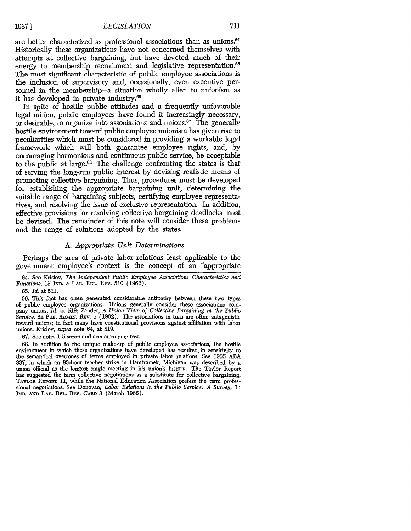are better characterized as professional associations than as unions. <sup>64</sup> Historically these organizations have not concerned themselves with attempts at collective bargaining, but have devoted much of their energy to membership recruitment and legislative representation.<sup>65</sup> The most significant characteristic of public employee associations is the inclusion of supervisory and, occasionally, even executive personnel in the membership-a situation wholly alien to unionism as it has developed in private industry.66

In spite of hostile public attitudes and a frequently unfavorable legal milieu, public employees have found it increasingly necessary, or desirable, to organize into associations and unions.<sup>67</sup> The generally hostile environment toward public employee unionism has given rise to peculiarities which must be considered in providing a workable legal framework which will both guarantee employee rights, and, by encouraging harmonious and continuous public service, be acceptable to the public at large.<sup>68</sup> The challenge confronting the states is that of serving the long-run public interest by devising realistic means of promoting collective bargaining. Thus, procedures must be developed for establishing the appropriate bargaining unit, determining the suitable range of bargaining subjects, certifying employee representatives, and resolving the issue of exclusive representation. In addition, effective provisions for resolving collective bargaining deadlocks must be devised. The remainder of this note will consider these problems and the range of solutions adopted by the states.

#### *A. Appropriate Unit Determinations*

Perhaps the area of private labor relations least applicable to the government employee's context is the concept of an "appropriate

67. See notes 1-5 *supra* and accompanying text.

68. In addition to the unique make-up of public employee associations, the hostile environment in which these organizations have developed has resulted, in sensitivity to the semantical overtones of terms employed in private labor relations. See 1965 ABA **337,** in which an 83-hour teacher strike in Hamtramck, Michigan was described by a union official as the longest single meeting in his union's history. The Taylor Report has suggested the term collective negotiations as a substitute for collective bargaining, TAYLOR REPORT 11, while the National Education Association prefers the term professional negotiations. See Donovan, *Labor Relations in the Public Service: A Survey,* 14 IND. **AND** LAB. **REL.** REP. CARD 3 (March 1966).

<sup>64.</sup> See Krislov, *The Independent Public Employee Association: Characteristics and Functions,* 15 IND. & LAB. **REL. REV.** 510 (1962).

**<sup>65.</sup>** *Id.* at 511.

<sup>66.</sup> This fact has often generated considerable antipathy between these two types of public employee organizations. Unions generally consider these associations company unions. *Id.* at 519; Zander, *A Union View of Collective Bargaining in the Public Service,* 22 PuB. ADMN. REv. 5 (1962). The associations in turn are often antagonistic toward unions; in fact many have constitutional provisions against affiliation with labor unions. Krislov, *supra* note 64, at 519.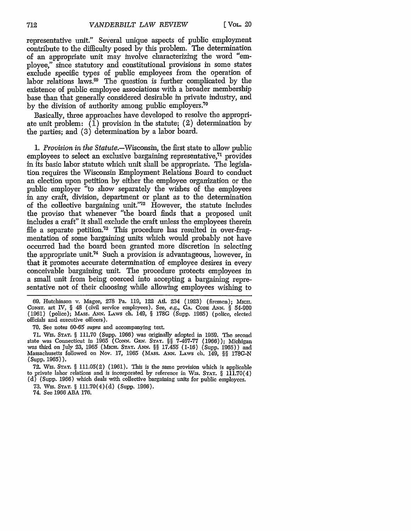representative unit." Several unique aspects of public employment contribute to the difficulty posed by this problem. The determination of an appropriate unit may involve characterizing the word "employee," since statutory and constitutional provisions in some states exclude specific types of public employees from the operation of labor relations laws.<sup>69</sup> The question is further complicated by the existence of public employee associations with a broader membership base than that generally considered desirable in private industry, and by the division of authority among public employers.<sup>70</sup>

Basically, three approaches have developed to resolve the appropriate unit problem:  $(\overline{1})$  provision in the statute; (2) determination by the parties; and (3) determination by a labor board.

*1. Provision in the* Statute.-Wisconsin, the first state to allow public employees to select an exclusive bargaining representative, $71$  provides in its basic labor statute which unit shall be appropriate. The legislation requires the Wisconsin Employment Relations Board to conduct an election upon petition by either the employee organization or the public employer "to show separately the wishes of the employees in any craft, division, department or plant as to the determination of the collective bargaining unit."<sup>72</sup> However, the statute includes the proviso that whenever "the board finds that a proposed unit includes a craft" it shall exclude the craft unless the employees therein file a separate petition.<sup>73</sup> This procedure has resulted in over-fragmentation of some bargaining units which would probably not have occurred had the board been granted more discretion in selecting the appropriate unit.<sup>74</sup> Such a provision is advantageous, however, in that it promotes accurate determination of employee desires in every conceivable bargaining unit. The procedure protects employees in a small unit from being coerced into accepting a bargaining representative not of their choosing while allowing employees wishing to

69. Hutchinson v. Magee, 278 Pa. 119, 122 Atl. 234 (1923) (firemen); MICII. CONST. art IV, § 48 (civil service employees). See, *e.g.,* **GA. CODE** ANN. § 54-909 (1961) (police); **MASS. ANN.** LAws ch. 149, § 178G (Supp. 1965) (police, elected officials and executive officers).

70. See notes 60-65 supra and accompanying text.

71. Wis. **STAT.** § 111.70 (Supp. 1966) was originally adopted in 1959. The second state was Connecticut in 1965 (CONN. Gr. **STAT.** §§ 7-467-77 (1966)); Michigan was third on July 23, 1965 (Mica. **STAT.** *ANN.* §§ 17.455 (1-16) (Supp. 1965)) and Massachusetts followed on Nov. 17, 1965 (MAss. **ANN.** LAws ch. 149, §§ 178C-N (Supp. 1965)).

**72.** Wis. **STAT.** § 111.05(2) (1961). This is the same provision which is applicable to private labor relations and is incorporated by reference in Wis. **STAT.** § 111.70(4)  $(d)$  (Supp. 1966) which deals with collective bargaining units for public employees.

73. Wis. **STAT.** § 111.70(4)(d) (Supp. 1966).

74. See 1966 **ABA** 176.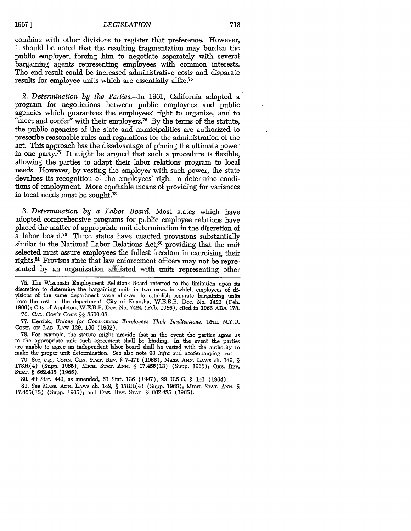combine with other divisions to register that preference. However, it should be noted that the resulting fragmentation may burden the public employer, forcing him to negotiate separately with several bargaining agents representing employees with common interests. The end result could be increased administrative costs and disparate results for employee units which are essentially alike.<sup>75</sup>

2. *Determination by the Parties.-In* 1961, California adopted a program for negotiations between public employees and public "meet and confer" with their employers.<sup>76</sup> By the terms of the statute, the public agencies of the state and municipalities are authorized to prescribe reasonable rules and regulations for the administration of the act. This approach has the disadvantage of placing the ultimate power in one party.<sup>77</sup> It might be argued that such a procedure is flexible, allowing the parties to adapt their labor relations program to local needs. However, by vesting the employer with such power, the state devalues its recognition of the employees' right to determine conditions of employment. More equitable means of providing for variances in local needs must be sought.78

*3. Determination by a Labor Board.-Most* states which have adopted comprehensive programs for public employee relations have placed the matter of appropriate unit determination in the discretion of a labor board.<sup>79</sup> Three states have enacted provisions substantially similar to the National Labor Relations Act, $80$  providing that the unit selected must assure employees the fullest freedom in exercising their rights.<sup>81</sup> Provisos state that law enforcement officers may not be represented by an organization affiliated with units representing other

**75.** The Wisconsin Employment Relations Board referred to the limitation upon its discretion to determine the bargaining units in two cases in which employees of divisions of the same department were allowed to establish separate bargaining units from the rest of the department. City of Kenosha, W.E.R.B. Dec. No. 7423 (Feb. 1966); City of Appleton, W.E.R.B. Dec. No. 7424 (Feb. 1966), cited in 1966 ABA 178.

76. **CAL.** Gov'T **CODE** §§ 3500-08.

77. Herrick, *Unions for Government Employees-Their Implications,* **15TH** N.Y.U. CoNF. ON LAB. LAw 129, 136 (1962).

78. For example, the statute might provide that in the event the parties agree as to the appropriate unit such agreement shall be binding. In the event the parties are unable to agree an independent labor board shall be ve make the proper unit determination. See also note 90 *infra* aud accompanying text.

79. See, *e.g., CONN.* GEr. **STAT.** REv. § 7-471 (1966); MAss. **ANN.** LAws ch. 149, *§* 178H(4) (Supp. 1965); MicH. **STAT.** ANN. § 17.455(13) (Supp. 1965); ORE. 1Ev. **STAT.** § 662.435 (1965).

80. 49 Stat. 449, as amended, 61 Stat. 136 (1947), 29 **U.S.C.** § 141 (1964).

81. See MAss. **A N.** LAws ch. 149, § 178H(4) (Supp. 1966); **MacH. STAT. ANN.** *§* 17.455(13) (Supp. 1965); and ORE. REv. **STAT.** § 662.435 (1965).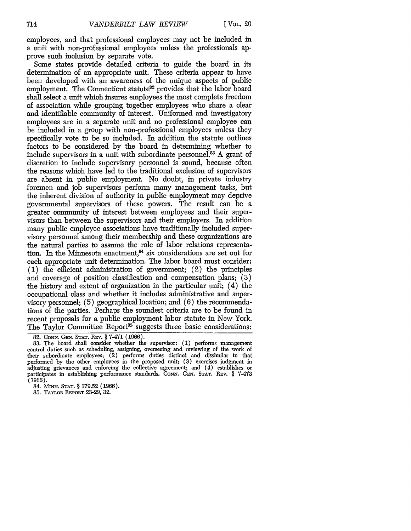employees, and that professional employees may not be included in a unit with non-professional employees unless the professionals approve such inclusion by separate vote.

Some states provide detailed criteria to guide the board in its determination of an appropriate unit. These criteria appear to have been developed with an awareness of the unique aspects of public employment. The Connecticut statute<sup>82</sup> provides that the labor board shall select a unit which insures employees the most complete freedom of association while grouping together employees who share a clear and identifiable community of interest. Uniformed and investigatory employees are in a separate unit and no professional employee can be included in a group with non-professional employees unless they specifically vote to be so included. In addition the statute outlines factors to be considered by the board in determining whether to include supervisors in a unit with subordinate personnel.<sup>83</sup> A grant of discretion to include supervisory personnel is sound, because often the reasons which have led to the traditional exclusion of supervisors are absent in public employment. No doubt, in private industry foremen and job supervisors perform many management tasks, but the inherent division of authority in public employment may deprive governmental supervisors of these powers. The result can be a greater community of interest between employees and their supervisors than between the supervisors and their employers. In addition many public employee associations have traditionally included supervisory personnel among their membership and these organizations are the natural parties to assume the role of labor relations representation. In the Minnesota enactment, $^{84}$  six considerations are set out for each appropriate unit determination. The labor board must consider: (1) the efficient administration of government; (2) the principles and coverage of position classification and compensation plans; (3) the history and extent of organization in the particular unit; (4) the occupational class and whether it includes administrative and supervisory personnel; (5) geographical location; and (6) the recommendations of the parties. Perhaps the soundest criteria are to be found in recent proposals for a public employment labor statute in New York. The Taylor Committee Report<sup>85</sup> suggests three basic considerations

85. TAYLOR **REPORT** 23-29, **32.**

<sup>82.</sup> CONN. GEN. STAT. REV. § 7-471 (1966).

<sup>83.</sup> The board shall consider whether the supervisor: (1) performs management control duties such as scheduling, assigning, overseeing and reviewing of the work of their subordinate employees; (2) performs duties distinct and dissimilar to that performed by the other employees in the proposed unit; (3) exercises judgment in adjusting grievances and enforcing the collective agreement; and (4) establishes or participates in establishing performance standards. **CONN.** GEN. **STAT. REv.** § 7-473 (1966).

<sup>84.</sup> **Mn-N. STAT.** § 179.52 (1966).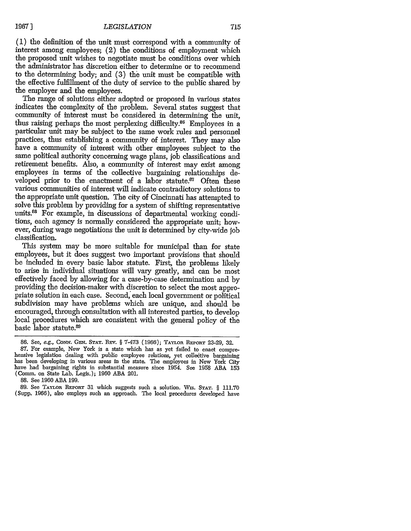**(1)** the definition of the unit must correspond with a community of interest among employees; (2) the conditions of employment which the proposed unit wishes to negotiate must be conditions over which the administrator has discretion either to determine or to recommend to the determining body; and (3) the unit must be compatible with the effective fulfillment of the duty of service to the public shared by the employer and the employees.

The range of solutions either adopted or proposed in various states indicates the complexity of the problem. Several states suggest that community of interest must be considered in determining the unit, thus raising perhaps the most perplexing difficulty. $86$  Employees in a particular unit may be subject to the same work rules and personnel practices, thus establishing a community of interest. They may also have a community of interest with other employees subject to the same political authority concerning wage plans, job classifications and retirement benefits. Also, a community of interest may exist among employees in terms of the collective bargaining relationships developed prior to the enactment of a labor statute. $87$  Often these various communities of interest will indicate contradictory solutions to the appropriate unit question. The city of Cincinnati has attempted to solve this problem by providing for a system of shifting representative units.88 For example, in discussions of departmental working conditions, each agency is normally considered the appropriate unit; however, during wage negotiations the unit is determined by city-wide **job** classification.

This system may be more suitable for municipal than for state employees, but it does suggest two important provisions that should be included in every basic labor statute. First, the problems likely to arise in individual situations will vary greatly, and can be most effectively faced by allowing for a case-by-case determination and by providing the decision-maker with discretion to select the most appropriate solution in each case. Second, each local government or political subdivision may have problems which are unique, and should be encouraged, through consultation with all interested parties, to develop local procedures which are consistent with the general policy of the basic labor statute.89

88. See 1960 ABA 199.

<sup>86.</sup> See, e.g., CONr. **GEN. STAT.** REv. § 7-473 (1966); **TAYLOR REPORT** 23-29, 32.

<sup>87.</sup> For example, New York is a state which has as yet failed to enact comprehensive legislation dealing with public employee relations, yet collective bargaining has been developing in various areas in the state. The employees in New York City have had bargaining rights in substantial measure since 1954. See 1958 ABA 153 (Comm. on State Lab. Legis.); 1960 ABA 201.

<sup>89.</sup> See **TAYLOR REPORT** 31 which suggests such a solution. Wis. **STAT.** § 111.70 (Supp. 1966), also employs such an approach. The local procedures developed have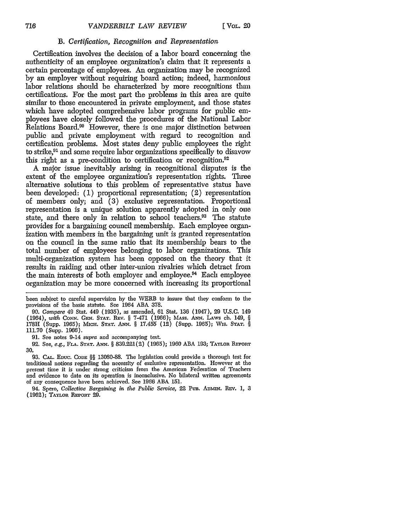#### *B. Certification, Recognition and Representation*

Certification involves the decision of a labor board concerning the authenticity of an employee organization's claim that it represents a certain percentage of employees. An organization may be recognized by an employer without requiring board action; indeed, harmonious labor relations should be characterized by more recognitions than certifications. For the most part the problems in this area are quite similar to those encountered in private employment, and those states which have adopted comprehensive labor programs for public employees have closely followed the procedures of the National Labor Relations Board.<sup>90</sup> However, there is one major distinction between public and private employment with regard to recognition and certification problems. Most states deny public employees the right to strike,91 and some require labor organizations specifically to disavow this right as a pre-condition to certification or recognition.<sup>92</sup>

**A** major issue inevitably arising in recognitional disputes is the extent of the employee organization's representation rights. Three alternative solutions to this problem of representative status have been developed: (1) proportional representation; (2) representation of members only; and (3) exclusive representation. Proportional representation is a unique solution apparently adopted in only one state, and there only in relation to school teachers.<sup>93</sup> The statute provides for a bargaining council membership. Each employee organization with members in the bargaining unit is granted representation on the council in the same ratio that its membership bears to the total number of employees belonging to labor organizations. This multi-organization system has been opposed on the theory that it results in raiding and other inter-union rivalries which detract from the main interests of both employer and employee.<sup>94</sup> Each employee organization may be more concerned with increasing its proportional

90. *Compare* 49 Stat. 449 (1935), as amended, 61 Stat. 136 (1947), 29 U.S.C. 149 (1964), *with* **CoN'1N. GEN. STAT. REV.** § 7-471 (1966); MAss. **ANN.** LAWS ch. 149, § 178H (Supp. 1965); MicH. **STAT.** *ANN.* § 17.455 (12) (Supp. 1965); Wis. **STAT.** § 111.70 (Supp. 1966).

91. See notes 9-14 *supra* and accompanying text.

92. See, *e.g.*, Fla. Stat. Ann. § 839.221(2) (1965); 1960 ABA 193; Taylor Report 30.

93. **CAL.** EDuc. CODE §§ 13080-8&. The legislation could provide a thorough test for traditional notions regarding the necessity of exclusive representation. However at the present time it is under strong criticism from the American Federation of Teachers and evidence to date on its operation is inconclusive. No bilateral written agreements of any consequence have been achieved. See 1966 ABA 151.

94. Spero, *Collective Bargaining in the Public Service*, 22 PuB. ADMIN. REV. 1, 3 (1962); TAYLoR **REoRT 29.**

been subject to careful supervision by the WERB to insure that they conform to the provisions of the basic statute. See 1964 **ABA** 378.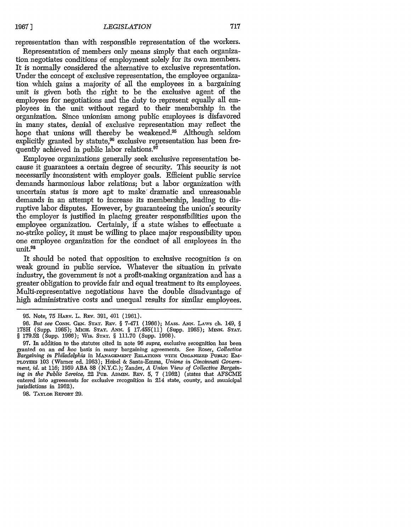representation than with responsible representation of the workers.

Representation of members only means simply that each organization negotiates conditions of employment solely for its own members. It is normally considered the alternative to exclusive representation. Under the concept of exclusive representation, the employee organization which gains a majority of all the employees in a bargaining unit is given both the right to be the exclusive agent of the employees for negotiations and the duty to represent equally all employees in the unit without regard to their membership in the organization. Since unionism among public employees is disfavored in many states, denial of exclusive representation may reflect the hope that unions will thereby be weakened.<sup>95</sup> Although seldom explicitly granted by statute, $96$  exclusive representation has been frequently achieved in public labor relations.<sup>97</sup>

Employee organizations generally seek exclusive representation because it guarantees a certain degree of security. This security is not necessarily inconsistent with employer goals. Efficient public service demands harmonious labor relations; but a labor organization with uncertain status is more apt to make' dramatic and unreasonable demands in an attempt to increase its membership, leading to disruptive labor disputes. However, by guaranteeing the union's security the employer is justified in placing greater responsibilities upon the employee organization. Certainly, if a state wishes to effectuate a no-strike policy, it must be willing to place major responsibility upon one employee organization for the conduct of all employees in the unit.98

It should be noted that opposition to exclusive recognition is on weak ground in public service. Whatever the situation in private industry, the government is not a profit-making organization and has a greater obligation to provide fair and equal treatment to its employees. Multi-representative negotiations have the double disadvantage of high administrative costs and unequal results for similar employees.

98. TAyx.on **REPORT 29.**

<sup>95.</sup> Note, 75 Hnv. L. **REv.** 391, 401 (1961).

<sup>96.</sup> *But see* **CONN.** *GEN.* **STAT.** REv. § 7-471 (1966); **MASS. ANN.** LAws ch. 149, § 178H (Supp. 1965); McH. **STAT.** ANN. § 17.455(11) (Supp. 1965); **MINN. STAT.** *§* 179.52 (Supp. 1966); Wis. **STAT.** § 111.70 (Supp. 1966).

<sup>97.</sup> In addition to the statutes cited in note 96 *supra,* exclusive recognition has been granted on an *ad hoc* basis in many bargaining agreements. See Roser, *Collective Bargaining in Philadelphia* in MANAGEMENT RELATIONS WITH ORGANIZED PUBLIC EM-PLOYEES 103 (Warner ed. 1963); Heisel & Santa-Emma, *Unions in Cincinnati Government, id.* at 116; 1959 ABA 88 (N.Y.C.); Zander, *A Union View of Collective Bargaining in the Public Service, 22 PUB. ADMIN. REV. 5, 7 (1962) (states that AFSCME* entered into agreements for exclusive recognition in 214 state, county, and municipal jurisdictions in 1962).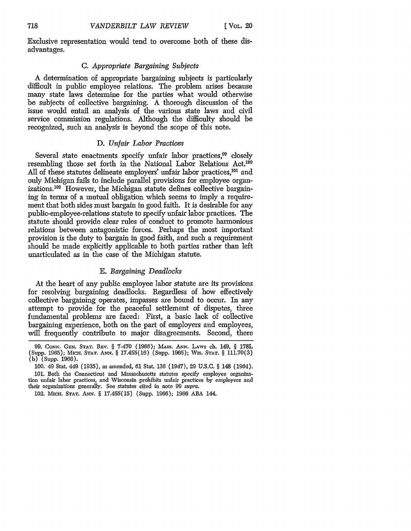Exclusive representation would tend to overcome both of these disadvantages.

#### *C. Appropriate Bargaining Subjects*

A determination of appropriate bargaining subjects is particularly difficult in public employee relations. The problem arises because many state laws determine for the parties what would otherwise be subjects of collective bargaining. A thorough discussion of the issue would entail an analysis of the various state laws and civil service commission regulations. Although the difficulty should be recognized, such an analysis is beyond the scope of this note.

#### D. *Unfair Labor Practices*

Several state enactments specify unfair labor practices,<sup>99</sup> closely resembling those set forth in the National Labor Relations Act.<sup>100</sup> All of these statutes delineate employers' unfair labor practices,<sup>101</sup> and only Michigan fails to include parallel provisions for employee organizations.<sup>102</sup> However, the Michigan statute defines collective bargaining in terms of a mutual obligation which seems to imply a requirement that both sides must bargain in good faith. It is desirable for any public-employee-relations statute to specify unfair labor practices. The statute should provide clear rules of conduct to promote harmonious relations between antagonistic forces. Perhaps the most important provision is the duty to bargain in good faith, and such a requirement should be made explicitly applicable to both parties rather than left unarticulated as in the case of the Michigan statute.

#### *E. Bargaining Deadlocks*

At the heart of any public employee labor statute are its provisions for resolving bargaining deadlocks. Regardless of how effectively collective bargaining operates, impasses are bound to occur. In any attempt to provide for the peaceful settlement of disputes, three fundamental problems are faced: First, a basic lack of collective bargaining experience, both on the part of employers and employees, will frequently contribute to major disagreements. Second, there

<sup>99.</sup> CoNN. GEN. **STAT.** REV. § 7-470 (1966); MAss. **ANN.** LAws ch. 149, § 178L (Supp. 1965); MIcH. **STAT. ANN.** § 17.455(16) (Supp. 1965); Wis. STAT. § **111.70(3)** (b) (Supp. 1966).

**<sup>100.</sup>** 49 Stat. 449 (1935), as amended, 61 Stat. 136 (1947), 29 U.S.C. § 148 (1964). 101. Both the Connecticut and Massachusetts statutes specify employee organization unfair labor practices, and Wisconsin prohibits unfair practices by employees and their organizations generally. See statutes cited in note 99 supra.

<sup>102.</sup> MIcH. **STAT. ANN.** § 17.455(15) (Supp. 1966); 1966 ABA 144.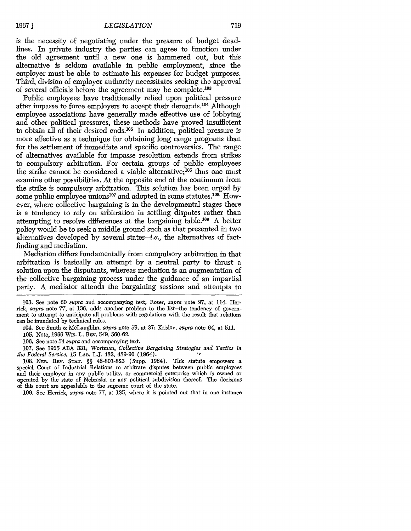is the necessity of negotiating under the pressure of budget deadlines. In private industry the parties can agree to function under the old agreement until a new one is hammered out, but this alternative is seldom available in public employment, since the employer must be able to estimate his expenses for budget purposes. Third, division of employer authority necessitates seeking the approval of several officials before the agreement may be complete. <sup>103</sup>

Public employees have traditionally relied upon political pressure after impasse to force employers to accept their demands.<sup>104</sup> Although employee associations have generally made effective use of lobbying and other political pressures, these methods have proved insufficient to obtain all of their desired ends. 05 In addition, political pressure is more effective as a technique for obtaining long range programs than for the settlement of immediate and specific controversies. The range of alternatives available for impasse resolution extends from strikes to compulsory arbitration. For certain groups of public employees the strike cannot be considered a viable alternative; $^{106}$  thus one must examine other possibilities. At the opposite end of the continuum from the strike is compulsory arbitration. This solution has been urged by some public employee unions<sup>107</sup> and adopted in some statutes.<sup>108</sup> However, where collective bargaining is in the developmental stages there is a tendency to rely on arbitration in settling disputes rather than attempting to resolve differences at the bargaining table.<sup>109</sup> A better policy would be to seek a middle ground such as that presented in two alternatives developed by several states-i.e., the alternatives of factfinding and mediation.

Mediation differs fundamentally from compulsory arbitration in that arbitration is basically an attempt by a neutral party to thrust a solution upon the disputants, whereas mediation is an augmentation of the collective bargaining process under the guidance of an impartial party. A mediator attends the bargaining sessions and attempts to

103. See note 60 supra and accompanying text; Roser, supra note 97, at 114. Herrick, supra note 77, at 136, adds another problem to the list-the tendency of government to attempt to anticipate all problems with regulations with the result that relations can be inundated by technical rules.

- 104. See Smith & McLaughlin, supra note 59, at 37; Krislov, supra note 64, at 511.
- 105. Note, 1966 Wis. L. **REv.** 549, 560-62.
- 106. See note 54 supra and accompanying text.

107. See 1965 ABA 331; Wortman, *Collective Bargaining Strategies and Tactics in the Federal Service,* 15 **LAB.** L.J. 482, 489-90 (1964).

108. **NFB.** REv. **STAT.** *§§* 48-801-823 (Supp. 1964). This statute empowers a special Court of Industrial Relations to arbitrate disputes between public employees and their employer in any public utility, or commercial enterprise which is owned or operated by the state of Nebraska or any political subdivision thereof. The decisions of this court are appealable to the supreme court of the state.

109. See Herrick, *supra* note 77, at 135, where it is pointed out that in one instance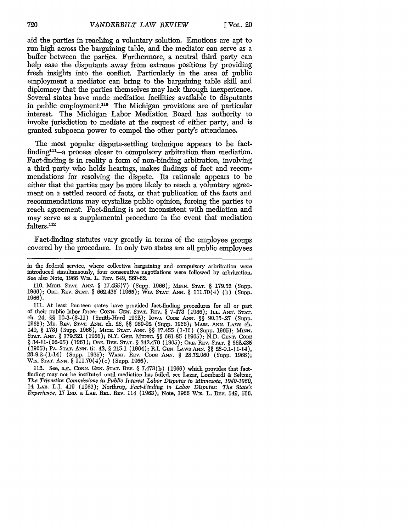aid the parties in reaching a voluntary solution. Emotions are apt to run high across the bargaining table, and the mediator can serve as a buffer between the parties. Furthermore, a neutral third party can help ease the disputants away from extreme positions by providing fresh insights into the conflict. Particularly in the area of public employment a mediator can bring to the bargaining table skill and diplomacy that the parties themselves may lack through inexperience. Several states have made mediation facilities available to disputants in public employment.<sup>110</sup> The Michigan provisions are of particular interest. The Michigan Labor Mediation Board has authority to invoke jurisdiction to mediate at the request of either party, and is granted subpoena power to compel the other party's attendance.

The most popular dispute-settling technique appears to be factfinding $111$ -a process closer to compulsory arbitration than mediation. Fact-finding is in reality a form of non-binding arbitration, involving a third party who holds hearings, makes findings of fact and recommendations for resolving the dispute. Its rationale appears to be either that the parties may be more likely to reach a voluntary agreement on a settled record of facts, or that publication of the facts and recommendations may crystalize public opinion, forcing the parties to reach agreement. Fact-finding is not inconsistent with mediation and may serve as a supplemental procedure in the event that mediation falters.112

Fact-finding statutes vary greatly in terms of the employee groups covered by the procedure. In only two states are all public employees

in the federal service, where collective bargaining and compulsory arbritration wero introduced simultaneously, four consecutive negotiations were followed by arbritration. See also Note, 1966 Wis. L. REv. 549, 560-62.

<sup>110.</sup> Mxci. **STAT.** ANt. *§* 17.455(7) (Supp. 1966); MnvN. **STAT.** *§* 179.52 (Supp. 1966); OrE. REv. **STAT.** *§* 662.435 (1965); Wis. **STAT. ANN.** § 111.70(4) (b) (Supp. 1966).

<sup>111.</sup> At least fourteen states have provided fact-finding procedures for all or part of their public labor force: CONN. GEN. **STAT.** REv. *§* 7-473 (1966); ILL. ANN. **STAT.** ch. 24, *§§* 10-3-(8-11) (Smith-Hurd 1962); IowA CODE **ANN.** *§§* 90.15-.27 (Supp. 1965); ME. REV. **STAT. ANN.** ch. 26, §§ 980-92 (Supp. 1966); **MASS. ANN.** LAws ch. 149, § 178J (Supp. 1965); MicH. **STAT.** *ANN. §§* 17.455 (1-16) (Supp. 1965); *MINN.* **STAT.** ANN. § 179.521 (1966); N.Y. **GEN.** MuNIc. *§§* 681-85 (1965); N.D. **CENT.** CODE: § 34-11-(02-05) (1961); ORE. **REv. STAT.** § 342.470 (1965); Ou. **REv. STAT.** *§* 662.435 (1965); PA. **STAT. ANN.** tit. 43, § 215.1 (1964); R.I. **GEN.** LAws ANN. §§ 28-9.1-(1-14), 28-9.2-(1-14) (Supp. 1965); WAsH. REv. CODE **ANN.** § 28.72.060 (Supp. 1966); Wis. **STAT. ANN.** § 111.70(4)(c) (Supp. 1966).

<sup>112.</sup> See, e.g., **CONN. GEN. STAT. REV.** § 7.473(b) (1966) which provides that factfinding may not be instituted until mediation has failed, see Lazar, Lombardi & Seltzer, *The Tripartite Commissions in Public Interest Labor Disputes in Minnesota, 1940-1960,* 14 LAB. L.J. 419 (1963); Northrup, *Fact-Finding in Labor Disputes: The State's Experience,* 17 Iho. **&** LAB. REL. REV. 114 (1963); Note, 1966 Wis. L. REv. 549, **566.**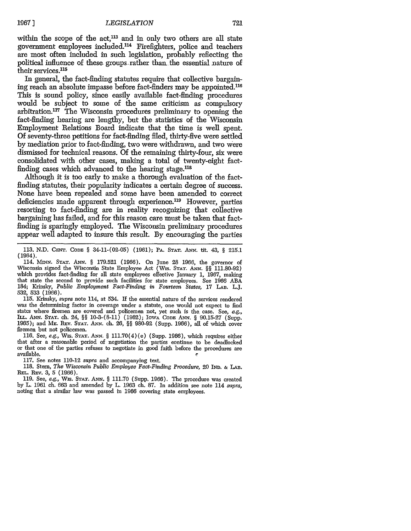within the scope of the  $act<sub>113</sub>$  and in only two others are all state government employees included.<sup>114</sup> Firefighters, police and teachers are most often included in such legislation, probably reflecting the political influence of these groups rather than the essential nature of their services.<sup>115</sup>

In general, the fact-finding statutes require that collective bargaining reach an absolute impasse before fact-finders may be appointed. <sup>116</sup> This is sound policy, since easily available fact-finding procedures would be subject to some of the same criticism as compulsory arbitration.<sup>117</sup> The Wisconsin procedures preliminary to opening the fact-finding hearing are lengthy, but the statistics of the Wisconsin Employment Relations Board indicate that the time is well spent. Of seventy-three petitions for fact-finding filed, thirty-five were settled by mediation prior to fact-finding, two were withdrawn, and two were dismissed for technical reasons. Of the remaining thirty-four, six were consolidated with other cases, making a total of twenty-eight factfinding cases which advanced to the hearing stage.<sup>118</sup>

Although it is too early to make a thorough evaluation of the factfinding statutes, their popularity indicates a certain degree of success. None have been repealed and some have been amended to correct deficiencies made apparent through experience.<sup>119</sup> However, parties resorting to fact-finding are in reality recognizing that collective bargaining has failed, and for this reason care must be taken that factfinding is sparingly employed. The Wisconsin preliminary procedures appear well adapted to insure this result. By encouraging the parties

113. N.D. **CENT. CODE** *§* 34-11-(02-05) (1961); PA. **STAT.** ANN. tit. 43, *§* 215.1 (1964).

114. MwNu. **STAT. ANN.** 8 **179.521** (1966). On June 28 1966, the governor of Wisconsin signed the Wisconsin State Employee Act (Wis. **STAT.** *ANN. §§* 111.80-92) which provides fact-finding for all state employees effective January 1, 1967, making that state the second to provide such facilities for state employees. See 1966 ABA 184; Krinsky, *Public Employment Fact-Finding in Fourteen States,* 17 LAB. L.J. 532, 533 (1966).<br>115. Krinsky, *supra* note 114, at 534. If the essential nature of the services rendered

was the determining factor in coverage under a statute, one would not expect to find states where firemen are covered and policemen not, yet such is the case. See, *e.g.,* ILL. ANN. **STAT.** ch. 24, *§§* 10-3-(8-11) (1962); IowA CODE **ANN.** *§* 90.15-27 (Supp. 1965); and ME. REv. **STAT. ANN.** ch. 26, *§§* 980-92 (Supp. 1966), all of which cover firemen but not policemen.

116. See, *e.g.,* Wis. **STAT.** ANN. *§* 111.70(4) (e) (Supp. 1966), which requires either that after a reasonable period of negotiation the parties continue to be deadlocked or that one of the parties refuses to negotiate in good faith before the procedures are available.  $\epsilon$ 

117. See notes 110-12 *supra* and accompanying text.

118. Stem, *The Wisconsin Public Employee Fact-Finding Procedure,* 20 *IND.* **&** LAB. **REL.** REv. 3, 5 (1966).

119. See, *e.g.,* Wis. **STAT.** ANN. *§* 111.70 (Supp. 1966). The procedure was created by L. 1961 ch. 663 and amended by L. 1963 ch. 87. In addition see note 114 *supra,* noting that a similar law was passed in 1966 covering state employees.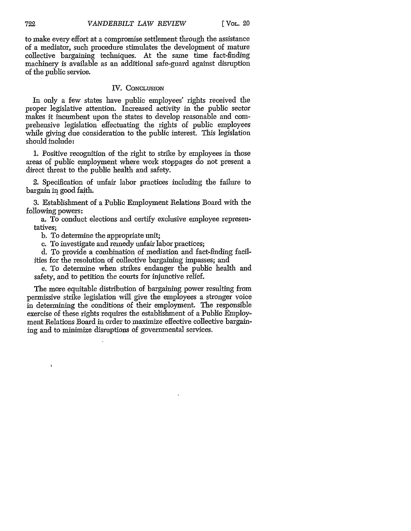to make every effort at a compromise settlement through the assistance of a mediator, such procedure stimulates the development of mature collective bargaining techniques. At the same time fact-finding machinery is available as an additional safe-guard against disruption of the public service.

#### IV. CONCLUSION

In only a few states have public employees' rights received the proper legislative attention. Increased activity in the public sector makes it incumbent upon the states to develop reasonable and comprehensive legislation effectuating the rights of public employees while giving due consideration to the public interest. This legislation should include:

**1.** Positive recognition of the right to strike by employees in those areas of public employment where work stoppages do not present a direct threat to the public health and safety.

2. Specification of unfair labor practices including the failure to bargain in good faith.

3. Establishment of a Public Employment Relations Board with the following powers:

a. To conduct elections and certify exclusive employee representatives;

b. To determine the appropriate unit;

c. To investigate and remedy unfair labor practices;

d. To provide a combination of mediation and fact-finding facilities for the resolution of collective bargaining impasses; and

e. To determine when strikes endanger the public health and safety, and to petition the courts for injunctive relief.

The more equitable distribution of bargaining power resulting from permissive strike legislation will give the employees a stronger voice in determining the conditions of their employment. The responsible exercise of these rights requires the establishment of a Public Employment Relations Board in order to maximize effective collective bargaining and to minimize disruptions of governmental services.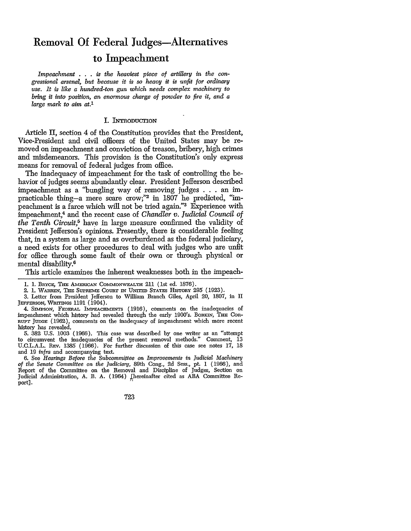# Removal **Of** Federal Judges-Alternatives to Impeachment

*Impeachment* . **. .** *is the heaviest piece of artillery in the congressional arsenal, but because it is so heavy it is unfit for ordinary use. It is like a hundred-ton gun which needs complex machinery to bring it into position, an enormous charge of powder to fire it, and a large mark to aim at.1*

#### I. INTRODUCTION

Article II, section 4 of the Constitution provides that the President, Vice-President and civil officers of the United States may be removed on impeachment and conviction of treason, bribery, high crimes and misdemeanors. This provision is the Constitution's only express means for removal of federal judges from office.

The inadequacy of impeachment for the task of controlling the behavior of judges seems abundantly clear. President Jefferson described impeachment as a "bungling way of removing judges . . .an impracticable thing-a mere scare crow;"2 in 1807 he predicted, *"im*peachment is a farce which will not be tried again."3 Experience with impeachment,4 and the recent case of *Chandler v. Judicial Council of the Tenth Circuit,5* have in large measure confirmed the validity of President Jefferson's opinions. Presently, there is considerable feeling that, in a system as large and as overburdened as the federal judiciary, a need exists for other procedures to deal with judges who are unfit for office through some fault of their own or through physical or mental disability.6

This article examines the inherent weaknesses both in the impeach-

723

**<sup>1. 1.</sup>** BRYcE, THE AMERcAN CoMMoNwEALTH 211 (1st ed. 1876).

<sup>2. 1.</sup> WARREN, THE SUPREME COURT IN UNITED STATES HISTORY 295 (1923).

<sup>3.</sup> Letter from President Jefferson to William Branch Giles, April 20, 1807, in II JEFFERsON, **WmTNGs** 1191 (1904).

<sup>4.</sup> SIMPSON, **FEDERAL IMEAcHmNTs** (1916), comments on the inadequacies of impeachment which history had revealed through the early 1900's. BonkIN, THE CoR-RUPT **JUDGE** (1962), comments on the inadequacy of impeachment which more recent history has revealed.

<sup>5. 382</sup> U.S. 1003 (1966). This case was described by one writer as an "attempt to circumvent the inadequacies of the present removal methods." Comment, 13 U.C.L.A.L. Rev. 1385 (1966). For further discussion of this case see notes 17, 18 and 19 *infra* and accompanying text.

<sup>6.</sup> See *Hearings Before the Subcommittee on Improvements in Judicial Machinery of the Senate Committee on the Judiciary,* 89th Cong., 2d Sess., pt. 1 (1966), and Report of the Committee on the Removal and Discipline of Judges, Section on Judicial Administration, A. B. A. (1964) jhereinafter cited as ABA Committee Report].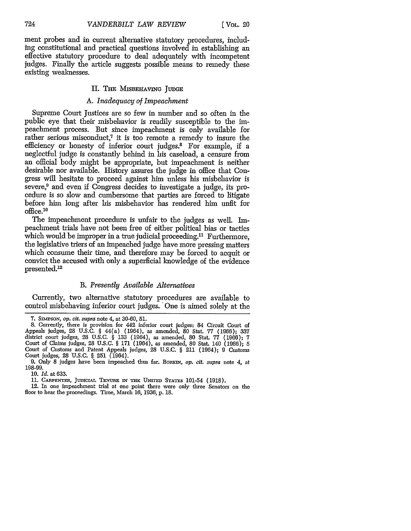ment probes and in current alternative statutory procedures, including constitutional and practical questions involved in establishing an effective statutory procedure to deal adequately with incompetent judges. Finally the article suggests possible means to remedy these existing weaknesses.

#### II. THE MISBEHAVING JUDGE

### *A. Inadequacy of Impeachment*

Supreme Court Justices are so few in number and so often in the public eye that their misbehavior is readily susceptible to the impeachment process. But since impeachment is only available for rather serious misconduct,<sup>7</sup> it is too remote a remedy to insure the efficiency or honesty of inferior court judges.8 For example, if a neglectful judge is constantly behind in his caseload, a censure from an official body might be appropriate, but impeachment is neither desirable nor available. History assures the judge in office that Congress will hesitate to proceed against him unless his misbehavior is severe,<sup>9</sup> and even if Congress decides to investigate a judge, its procedure is so slow and cumbersome that parties are forced to litigate before him long after his misbehavior has rendered him unfit for office.10

The impeachment procedure is unfair to the judges as well. Impeachment trials have not been free of either political bias or tactics which would be improper in a true judicial proceeding.<sup>11</sup> Furthermore, the legislative triers of an impeached judge have more pressing matters which consume their time, and therefore may be forced to acquit or convict the accused with only a superficial knowledge of the evidence presented.12

#### *B. Presently Available Alternatives*

Currently, two alternative statutory procedures are available to control misbehaving inferior court judges. 'One is aimed solely at the

<sup>7.</sup> SImPsoN, *op. cit. supra* note 4, at 30-60, **51.**

**<sup>8.</sup>** Currently, there is provision for 442 inferior court judges: 84 Circuit Court of Appeals judges, 28 U.S.C. § 44(a) (1964), as amended, 80 Stat. 77 (1966); **337** district court judges, 28 U.S.C. § **133** (1964), as amended, 80 Stat. 77 (1966); 7 Court of Claims judges, 28 U.S.C. § 171 (1964), as amended, 80 Stat. 140 (1966); 5 Court of Customs and Patent Appeals judges, 28 U.S.C. § 211 (1964); 9 Customs Court judges, 28 U.S.C. § 251 (1964).

<sup>9.</sup> Only 8 judges have been impeached thus far. BORKIN, *op. cit. supra* note 4, at 198-99.

**<sup>10.</sup>** *Id.* at 633.

<sup>11.</sup> CARPENTER, JUDICIAL TENURE IN THE UNITED STATES 101-54 (1918).

<sup>12.</sup> In one impeachment trial at one point there were only three Senators on the floor to hear the proceedings. Time, March 16, **1936,** p. 18.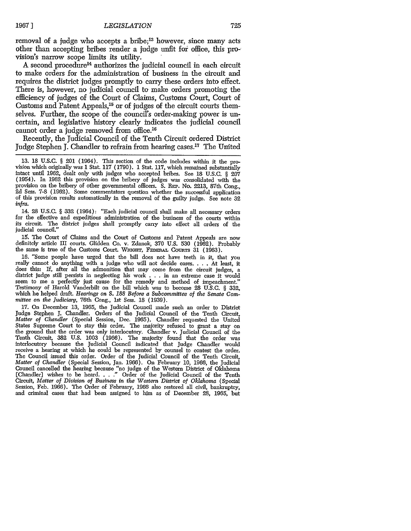removal of a judge who accepts a bribe;<sup>13</sup> however, since many acts other than accepting bribes render a judge unfit foi office, this provision's narrow scope limits its utility.

A second procedure<sup>14</sup> authorizes the judicial council in each circuit to make orders for the administration of business in the circuit and requires the district judges promptly to carry these orders into effect. There is, however, no judicial council to make orders promoting the efficiency of judges of the Court of Claims, Customs Court, Court of Customs and Patent Appeals, 15 or of judges of the circuit courts themselves. Further, the scope of the council's order-maling power is uncertain, and legislative history clearly indicates the judicial council cannot order a judge removed from office.<sup>16</sup>

Recently, the Judicial Council of the Tenth Circuit ordered District Judge Stephen J. Chandler to refrain from hearing cases.<sup>17</sup> The United

14. 28 U.S.C. § 332 (1964): "Each judicial council shall make all necessary orders for the effective and expeditious administration of the business of the courts within its circuit. The district judges shall promptly carry into effect all orders of the judicial council.

15. The Court of Claims and the Court of Customs and Patent Appeals are now definitely article III courts. Glidden Co. v. Zdanok, 370 U.S. 530 (1962). Probably the same is true of the Customs Court. WRIGHT, FEDERAL COURTS 31 (1963).

16. "Some people have urged that the bill does not have teeth in it, that you really cannot do anything with a judge who will not decide cases. . . . At least, it does this: If, after all the admonition that may come from the circuit judges, a district judge still persists in neglecting his work . . . in an extreme case it would seem to me a perfectly just cause for the remedy and method of impeachment." Testimony of Harold Vanderbilt on the bill which was to become 28 U.S.C. § 332, which he helped draft. *Hearings on S. 188 Before a Subcommittee of the Senate Committee on the Judiciary,* 76th Cong., 1st Sess. 18 (1939).

17. On December 13, 1965, the Judicial Council made such an order to District Judge Stephen J. Chandler. Orders of the Judicial Council of the Tenth Circuit, *Matter of Chandler* (Special Session, Dec. 1965). Chandler requested the United States Supreme Court to stay this order. The majority refused to grant a stay on the ground that the order was only interlocutory. Chandler v. Judicial Council of the Tenth Circuit, 382 U.S. 1003 (1966). The majority found that the order was interlocutory because the Judicial Council indicated that Judge Chandler would receive a hearing at which he could be represented by counsel to contest the order. The Council issued this order. Order of the Judicial Council of the Tenth Circuit, *Matter of Chandler* (Special Session, Jan. 1966). On February 10, 1966, the Judicial Council cancelled the hearing because "no judge of the Western District of Oklahoma<br>[Chandler] wishes to be heard...." Order of the Judicial Council of the Tenth Circuit, *Matter of Division of Business in the Western District of Oklahoma* (Special Session, Feb. 1966). The Order of February, 1966 also restored all civil, bankruptcy, and criminal cases that bad been assigned to him as of December 28, 1965, but

<sup>13. 18</sup> U.S.C. § 201 (1964). This section of the code includes within it the pro- vision which originally was 1 Stat. 117 (1790). 1 Stat. 117, which remained substantially intact until 1962, dealt only with judges who accepted bribes. See 18 U.S.C. § 207 (1954). In 1962 this provision on the bribery of judges was consolidated with the provision on the bribery of other governmental officers. S. REP. No. 2213, 87th Cong., 2d Sess. 7-8 (1962). Some commentators question whether the successful application of this provision results automatically in the removal of the guilty judge. See note 32 *infra.*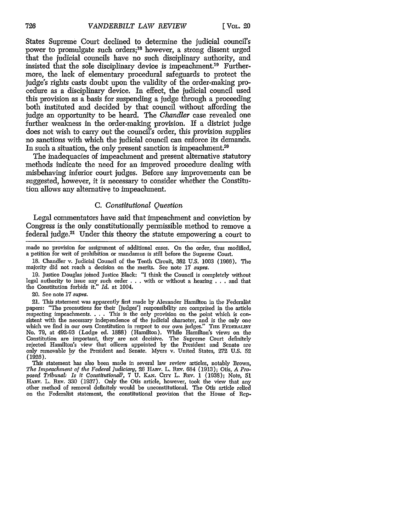States Supreme Court declined to determine the judicial council's power to promulgate such orders;18 however, a strong dissent urged that the judicial councils have no such disciplinary authority, and insisted that the sole disciplinary device is impeachment.<sup>19</sup> Furthermore, the lack of elementary procedural safeguards to protect the judge's fights casts doubt upon the validity of the order-making procedure as a disciplinary device. In effect, the judicial council used this provision as a basis for suspending a judge through a proceeding both instituted and decided by that council without affording the judge an opportunity to be heard. The *Chandler* case revealed one further weakness in the order-making provision. If a district judge does not wish to carry out the council's order, this provision supplies no sanctions with which the judicial council can enforce its demands. In such a situation, the only present sanction is impeachment.<sup>20</sup>

The inadequacies of impeachment and present alternative statutory methods indicate the need for an improved procedure dealing with misbehaving inferior court judges. Before any improvements can be suggested, however, it is necessary to consider whether the Constitution allows any alternative to impeachment.

#### *C. Constitutional Question*

Legal commentators have said that impeachment and conviction by Congress is the only constitutionally permissible method to remove a federal judge.21 Under this theory the statute empowering a court to

made no provision for assignment of additional cases. On the order, thus modified, a petition for writ of prohibition or mandamus is still before the Supreme Court.

18. Chandler v. Judicial Council of the Tenth Circuit, 382 U.S. 1003 (1966). The majority did not reach a decision on the merits. See note 17 *supra.*

19. Justice Douglas joined Justice Black: "I think the Council is completely without legal authority to issue any such order . . . with or without a hearing . . . and that the Constitution forbids it." *Id.* at 1004.

20. See note 17 *supra.*

21. This statement was apparently first made by Alexander Hamilton in the Federalist papers: "The precautions for their [judges'] responsibility are comprised in the article respecting impeachments. . . . This is the only provision on the point which is conrespecting impeachments. . . . This is the only provision on the point which is consistent with the necessary independence of the judicial character, and is the only one which we find in our own Constitution in respect to No. 79, at 492-93 (Lodge ed. 1888) (Hamilton). While Hamilton's views on the Constitution are important, they are not decisive. The Supreme Court definitely rejected Hamilton's view that officers appointed by the President and Senate are only removable by the President and Senate. Myers v. United States, 272 U.S. 52 **(1926).**

This statement has also been made in several law review articles, notably Brown, The Impeachment of the Federal Judiciary, 26 HARV. L. REV. 684 (1913); Otis, A Proposed Tribunal: Is it Constitutional?, 7 U. KAN. Crry L. REv. 1 (1938); Note, 51 HAzv. L. REv. 330 (1937). Only the Otis article, however, took the view that any other method of removal definitely would be unconstitutional. The Otis article relied on the Federalist statement, the constitutional provision that the House of Rep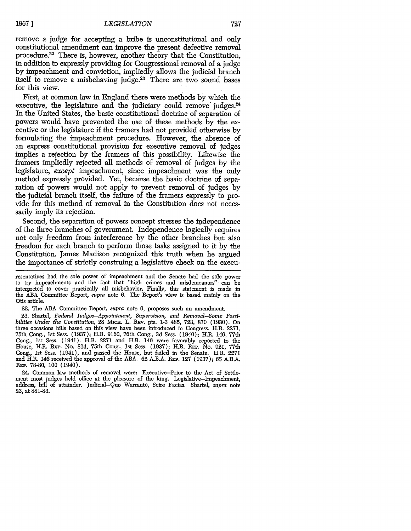remove a judge for accepting a bribe is unconstitutional and only constitutional amendment can improve the present defective removal procedure.<sup>22</sup> There is, however, another theory that the Constitution, in addition to expressly providing for Congressional removal of a judge by impeachment and conviction, impliedly allows the judicial branch itself to remove a misbehaving judge.23 There are two sound bases for this view.

First, at common law in England there were methods by which the executive, the legislature and the judiciary could remove judges.<sup>24</sup> In the United States, the basic constitutional doctrine of separation of powers would have prevented the use of these methods by the executive or the legislature if the framers had not provided otherwise by formulating the impeachment procedure. However, the absence of an express constitutional provision for executive removal of judges implies a rejection by the framers of this possibility. Likewise the framers impliedly rejected all methods of removal of judges by the legislature, except impeachment, since impeachment was the only method expressly provided. Yet, because the basic doctrine of separation of powers would not apply to prevent removal of judges by the judicial branch itself, the failure of the framers expressly to provide for this method of removal in the Constitution does not necessarily imply its rejection.

Second, the separation of powers concept stresses the independence of the three branches of government. Independence logically requires not only freedom from interference by the other branches but also freedom for each branch to perform those tasks assigned to it by the Constitution. James Madison recognized this truth when he argued the importance of strictly construing a legislative check on the execu-

resentatives had the sole power of impeachment and the Senate had the sole power to try impeachments and the fact that "high crimes and misdemeanors" can be interpreted to cover practically all misbehavior. Finally, this statement is made in the ABA Committee Report, supra note 6. The Report's view is based mainly on the Otis article.

22. The ABA Committee Report, supra note 6, proposes such an amendment.

23. Shartel, *Federal Judges-Appointment, Supervision, and Removal-Some Possibilities Under the Constitution,* 28 **MicH.** L. **REv.** pts. **1-3** 485, 723, 870 (1930). On three occasions bills based on this view have been introduced in Congress. H.R. 2271, 75th Cong., 1st Sess. (1937); H.R. 9160, 76th Cong., 3d Sess. (1940); H.R. 146, 77th Cong., 1st Sess. (1941). H.R. 2271 and H.R. 146 were favorably reported to the House, H.R. REP. No. 814, 75th Cong., 1st Sess. (1937); H.R. REP. No. 921, 77th Cong., 1st Sess. (1941), and passed the House, but failed in the Senate. H.R. 2271 and H.R. 146 received the approval of the ABA. 62 A.B.A. REP. 127 (1937); 65 A.B.A. REP. 78-80, 100 (1940).

24. Common law methods of removal were: Executive-Prior to the Act of Settlement most judges held office at the pleasure of the king. Legislative-Impeachment, address, bill of attainder. Judicial-Quo Warranto, Scire Facias. Shartel, supra note 23, at 881-83.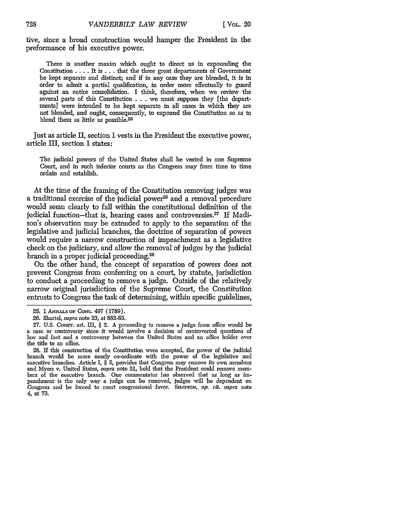tive, since a broad construction would hamper the President in the preformance of his executive power.

There is another maxim which ought to direct us in expounding the Constitution .... It is **...** that the three great departments of Government be kept separate and distinct; and if in any case they are blended, it is in order to admit a partial qualification, in order more effectually to guard against an entire consolidation. I think, therefore, when we review the several parts of this Constitution . . . we must suppose they [the departments] were intended to be kept separate in all cases in which they are not blended, and ought, consequently, to expound the Constitution so as to blend them as little as possible.25

Just as article II, section 1 vests in the President the executive power, article III, section **1** states:

The judicial powers of the United States shall be vested in one Supreme Court, and in such inferior courts as the Congress may from time to time ordain and establish.

At the time of the framing of the Constitution removing judges was a traditional exercise of the judicial power<sup>26</sup> and a removal procedure would seem clearly to fall within the constitutional definition of the judicial function-that is, hearing cases and controversies.<sup>27</sup> If Madison's observation may be extended to apply to the separation of the legislative and judicial branches, the doctrine of separation of powers would require a narrow construction of impeachment as a legislative check on the judiciary, and allow the removal of judges by the judicial branch in a proper judicial proceeding.28

On the other hand, the concept of separation of powers does not prevent Congress from conferring on a court, by statute, jurisdiction to conduct a proceeding to remove a judge. Outside of the relatively narrow original jurisdiction of the Supreme Court, the Constitution entrusts to Congress the task of determining, within specific guidelines,

<sup>25. 1</sup>ANNALSOF CONG. 497 **(1789).**

<sup>26.</sup> Shartel, supra note 23, at 882-83.

**<sup>27.</sup>** U.S. CoNsT. art. III, § 2. A proceeding to remove a judge from office would be a case or controversy since it would involve a decision of controverted questions of law and fact and a controversy between the United States and an office holder over the title to an office.

**<sup>28.</sup>** If this construction of the Constitution were accepted, the power of the judicial branch would be more nearly co-ordinate with the power of the legislative and executive branches. Article I, § 5, provides that Congress may remove its own members and Myers v. United States, supra note 21, held that the President could remove members of the executive branch. One commentator has observed that as long as impeachment is the only way a judge can be removed, judges will be dependent on Congress and be forced to court congressional favor. SMInSON, *op.* cit. supra note 4, at 73.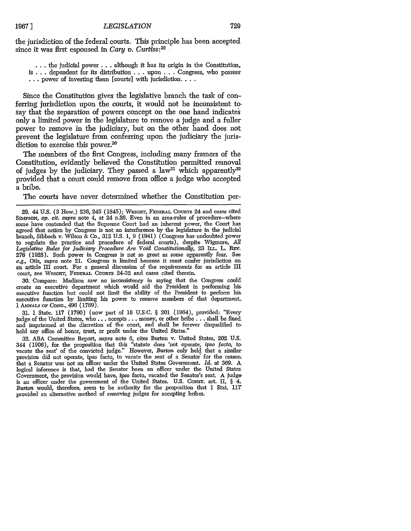the jurisdiction of the federal courts. This principle has been accepted since it was first espoused in *Cary v. Curtiss : 29*

**...** the judicial power... although it has its origin in the Constitution, is ... dependent for its distribution ... upon ... Congress, who possess **...** power of investing them [courts] with jurisdiction....

Since the Constitution gives the legislative branch the task of conferring jurisdiction upon the courts, it would not be inconsistent tosay that the separation of powers concept on the one hand indicates only a limited power in the legislature to remove a judge and a fuller power to remove in the judiciary, but on the other hand does not prevent the legislature from conferring upon the judiciary the jurisdiction to exercise this power.<sup>30</sup>

The members of the first Congress, including many framers of the Constitution, evidently believed the Constitution permitted removal of judges by the judiciary. They passed a law<sup>31</sup> which apparently<sup>32</sup> provided that a court could remove from office a judge who accepted a bribe.

The courts have never determined whether the Constitution per-

30. Compare: Madison saw no inconsistency in saying that the Congress could create an executive department which would aid the President in performing his executive function but could not limit the ability of the President to perform his executive function by limiting his power to remove members of that department. 1 ANNALS OF CONG., 496 (1789).

31. 1 State. 117 (1790) (now part of 18 U.S.C. § 201 (1964), provided: "Every judge of the United States, who **...** accepts **...** money, or other bribe... shall be fined. and imprisoned at the discretion of the court, and shall be forever disqualified to. hold any office of honor, trust, or profit under the United States."

32. ABA Committee Report, *supra* note 6, cites Burton v. United States, 202 U.S. 344 (1906), for the proposition that this "statute does 'not operate, *ipso facto,* to. vacate the seat' of the convicted judge." However, *Burton* only held that a similar provision did not operate, ipso facto, to vacate the seat of a Senator for the reason that a Senator was not an officer under the United States Government. *Id.* at 369. A, logical inference is that, had the Senator been an officer under the United States. Government, the provision would have, ipso facto, vacated the Senator's seat. A judge is an officer under the government of the United States. U.S. CONST. art. II, § 4. *Burton* would, therefore, seem to be authority for the proposition that 1 Stat. 11'T provided an alternative method of removing judges for accepting bribes.

<sup>29. 44</sup> **U.S. (3** How.) 236, 245 (1845); WRIGHT, **FEDmuL** CouRTs 24 and cases cited *SndnsoN, op. cit. supra* note 4, at 24 n.26. Even in an area-rules of procedure-where some have contended that the Supreme Court had an inherent power, the Court has agreed that action by Congress is not an interference by the legislature in the judicial branch, Sibbach v. Wilson & Co., **312** U.S. 1, 9 (1941) (Congress has undoubted power to regulate the practice and procedure of federal courts), despite Wigmore, *All Legislative Rules for Judiciary Procedure Are Void Constitutionally,* 23 ILL. L. **REv. 276** (1928). Such power in Congress is not so great as some apparently fear. See *e.g.,* Otis, *supra* note 21. Congress is limited because it must confer jurisdiction on an article HI court. For a general discussion of the requirements for an article **III** court, see WRIGHT, FEDERAL COURTS 24-32 and cases cited therein.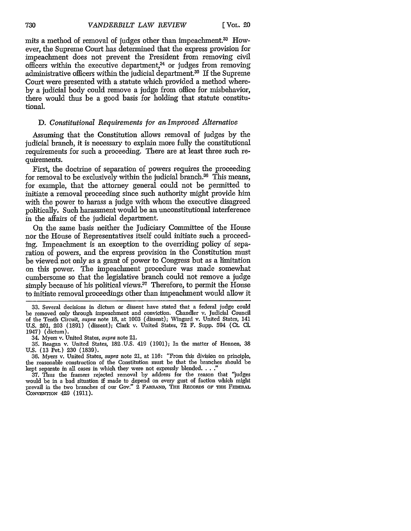mits a method of removal of judges other than impeachment.<sup>33</sup> However, the Supreme Court has determined that the express provision for impeachment does not prevent the President from removing civil officers within the executive department,<sup>34</sup> or judges from removing administrative officers within the judicial department.35 If the Supreme Court were presented with a statute which provided a method whereby a judicial body could remove a judge from office for misbehavior, there would thus be a good basis for holding that statute constitutional.

#### *D. Constitutional Requirements for an Improved Alternative*

Assuming that the Constitution allows removal of judges by the judicial branch, it is necessary to explain more fully the constitutional requirements for such a proceeding. There are at least three such requirements.

First, the doctrine of separation of powers requires the proceeding for removal to be exclusively within the judicial branch.<sup>36</sup> This means, for example, that the attorney general could not be permitted to initiate a removal proceeding since such authority might provide him with the power to harass a judge with whom the executive disagreed politically. Such harassment would be an unconstitutional interference in the affairs of the judicial department.

On the same basis neither the Judiciary Committee of the House nor the House of Representatives itself could initiate such a proceeding. Impeachment is an exception to the overriding policy of separation of powers, and the express provision in the Constitution must be viewed not only as a grant of power to Congress but as a limitation on this power. The impeachment procedure was made somewhat cumbersome so that the legislative branch could not remove a judge simply because of his political views.<sup>37</sup> Therefore, to permit the House to initiate removal proceedings other than impeachment would allow it

34. Myers v. United States, *supra* note 21.

<sup>33.</sup> Several decisions in dictum or dissent have stated that a federal judge could be removed only through impeachment and conviction. Chandler v. Judicial Council of the Tenth Circuit, *supra* note 18, at 1003 (dissent); Wingard v. United States, 141 U.S. 201, 203 (1891) (dissent); Clark v. United States, 72 F. Supp. 594 (Ct. **Cl.** 1947) (dictum).

<sup>35.</sup> Reagan v. United States, 182.U.S. 419 (1901); In the matter of Hennen, 38 U.S. (13 Pet.) **230** (1839).

<sup>36.</sup> Myers v. United States, *supra* note 21, at 116: "From this division on principle, the reasonable construction of the Constitution must be that the branches should be kept separate in all cases in which they were not expressly blended. . . .

<sup>37.</sup> Thus the framers rejected removal by address for the reason that "judges would be in a bad situation if made to depend on every gust of faction which might prevail in the two branches of our Gov." 2 FARRAND, THE RECORDS OF THE FEDERAL CONVENTION 429 (1911).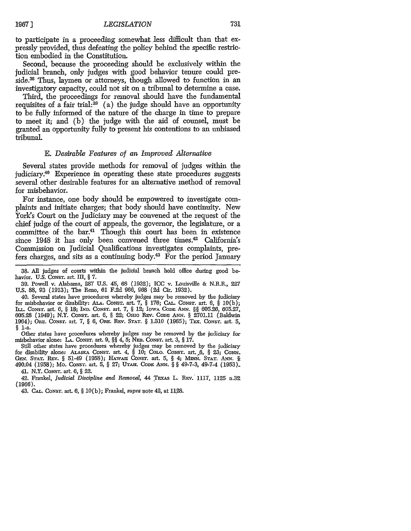to participate in a proceeding somewhat less difficult than that expressly provided, thus defeating the policy behind the specific restriction embodied in the Constitution.

Second, because the proceeding should be exclusively within the judicial branch, only judges with good behavior tenure could preside.<sup>38</sup> Thus, laymen or attorneys, though allowed to function in an investigatory capacity, could not sit on a tribunal to determine a case.

Third, the proceedings for removal should have the fundamental requisites of a fair trial: $39$  (a) the judge should have an opportunity to be fully informed of the nature of the charge in time to prepare to meet it; and (b) the judge with the aid of counsel, must be granted an opportunity fully to present his contentions to an unbiased tribunal.

#### *E. Desirable Features of an Improved Alternative*

Several states provide methods for removal of judges within the judiciary.<sup>40</sup> Experience in operating these state procedures suggests several other desirable features for an alternative method of removal for misbehavior.

For instance, one body should be empowered to investigate complaints and initiate charges; that body should have continuity. New York's Court on the Judiciary may be convened at the request of the chief judge of the court of appeals, the governor, the legislature, or a committee of the bar.<sup>41</sup> Though this court has been in existence since 1948 it has only been convened three times.<sup>42</sup> California's Commission on Judicial Qualifications investigates complaints, prefers charges, and sits as a continuing body.<sup>43</sup> For the period January

Other states have procedures whereby judges may be removed by the judiciary for misbehavior alone: LA. CONsT. art. 9, §§ 4, 5; NxB. CONST. art. 3, § **17.**

Still other states have procedures whereby judges may be removed by the judiciary for disability alone: **ALASKA** CoNsT. art. 4, § **10;** CoLO. CoNsT. art. ,6, § **23; CONN.** GEN. STAT. REV. § 51-49 (1958); HAWAH CONST. art. 5, § 4; MINN. STAT. ANN. § 490.04 (1958); Mo. CONST. art. 5, § 27; **UTAH. CODE ANN.** § § 49-7-3, 49-7-4 (1953).. 41. N.Y. CONST. art. 6, § 22.

42. Frankel, *Judicial Discipline and Removal,* 44 TEXAs L. REv. 1117, 1125 n.32 (1966).

43. **CAL. CONST.** art. 6, § 10(b); Frankel, *supra* note 42, at 1128.

1967]

<sup>38.</sup> All judges of courts within the judicial branch hold office during good behavior. U.S. CONST. art. III, § 7.

<sup>39.</sup> Powell v. Alabama, 287 U.S. 45, 68 (1932); ICC v. Louisville & N.R.R., 227 U.S. 88, 93 (1913); The Reno, 61 F.2d 966, 968 (2d Cir. 1932).

<sup>40.</sup> Several states have procedures whereby judges may be removed by the judiciary for misbehavior or disability: *ALA.* CoNsT. art. 7, § 176; **CAL.** CoNsT. art. 6, § 10(b); **ILL.** CoNsT. art. 6, § 18; **IND. CO NST.** art. 7, § 12; IowA **CODE ANN.** §§ 605.26, 605.27, 605.28 (1949); N.Y. CONST. art. 6, § 22; Omo Rtv. CODE ANN. § 2701.11 (Baldwin 1964); OnE. CONsT. art. 7, § 6, ORE. **REv. STAT.** § 1.310 (1965); TEx. CoNsT. art. 5, *§* 1-a.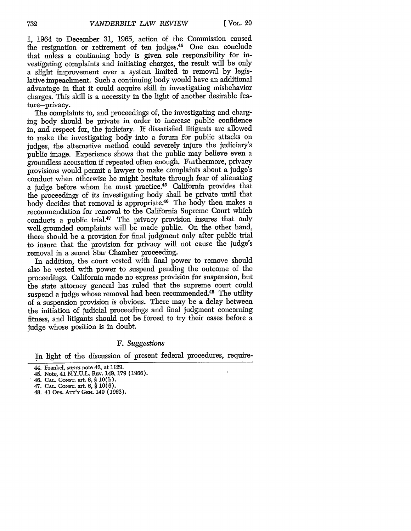1, 1964 to December 31, 1965, action of the Commission caused the resignation or retirement of ten judges.<sup>44</sup> One can conclude that unless a continuing body is given sole responsibility for investigating complaints and initiating charges, the result will be only a slight improvement over a system limited to removal by legislative impeachment. Such a continuing body would have an additional advantage in that it could acquire skill in investigating misbehavior charges. This skill is a necessity in the light of another desirable feature-privacy.

The complaints to, and proceedings of, the investigating and charging body should be private in order to increase public confidence in, and respect for, the judiciary. If dissatisfied litigants are allowed to make the investigating body into a forum for public attacks on judges, the alternative method could severely injure the judiciary's public image. Experience shows that the public may believe even a groundless accusation if repeated often enough. Furthermore, privacy provisions would permit a lawyer to make complaints about a judge's conduct when otherwise he might hesitate through fear of alienating a judge before whom he must practice.45 California provides that the proceedings of its investigating body shall be private until that body decides that removal is appropriate.<sup>46</sup> The body then makes a recommendation for removal to the California Supreme Court which conducts a public trial.<sup>47</sup> The privacy provision insures that only well-grounded complaints will be made public. On the other hand, there should be a provision for final judgment only after public trial to insure that the provision for privacy will not cause the judge's removal in a secret Star Chamber proceeding.

In addition, the court vested with final power to remove should also be vested with power to suspend pending the outcome of the proceedings. California made no express provision for suspension, but the state attorney general has ruled that the supreme court could suspend a judge whose removal had been recommended.48 The utility of a suspension provision is obvious. There may be a delay between the initiation of judicial proceedings and final judgment concerning fitness, and litigants should not be forced to try their cases before a judge whose position is in doubt.

#### *F. Suggestions*

In light of the discussion of present federal procedures, require-

<sup>44.</sup> Frankel, supra note 42, at 1129.

<sup>45.</sup> Note, 41 N.Y.U.L. REv. 149, 179 (1966).

<sup>46.</sup> **CAL.** CONST. art. **6, § 10(b).**

<sup>47.</sup> **CA..** CONsT. art. **6,** § **10(6).**

<sup>48.</sup> *41* Ors. ATr'Y **GEN.** 140 (1963).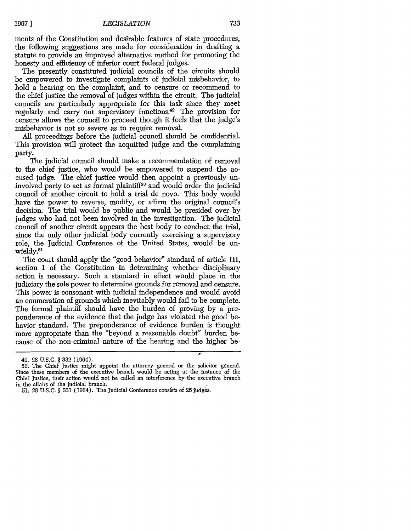ments of the Constitution and desirable features of state procedures, the following suggestions are made for consideration in drafting a statute to provide an improved alternative method for promoting the honesty and efficiency of inferior court federal judges.

The presently constituted judicial councils of the circuits should be empowered to investigate complaints of judicial misbehavior, to hold a hearing on the complaint, and to censure or recommend to the chief justice the removal of judges within the circuit. The judicial councils are particularly appropriate for this task since they meet regularly and carry out supervisory functions.49 The provision for censure allows the council to proceed though it feels that the judge's misbehavior is not so severe as to require removal.

All proceedings before the judicial council should be confidential. This provision will protect the acquitted judge and the complaining party.

The judicial council should make a recommendation of removal to the chief justice, who would be empowered to suspend the accused judge. The chief justice would then appoint a previously uninvolved party to act as formal plaintiff<sup>50</sup> and would order the judicial council of another circuit to hold a trial de novo. This body would have the power to reverse, modify, or affirm the original council's decision. The trial would be public and would be presided over by judges who had not been involved in the investigation. The judicial council of another circuit appears the best body to conduct the trial, since the only other judicial body currently exercising a supervisory role, the Judicial Conference of the United States, would be unwieldy.<sup>51</sup>

The court should apply the "good behavior" standard of article III, section 1 of the Constitution in determining whether disciplinary action is necessary. Such a standard in effect would place in the judiciary the sole power to determine grounds for removal and censure. This power is consonant with judicial independence and would avoid an enumeration of grounds which inevitably would fail to be complete. The formal plaintiff should have the burden of proving by a preponderance of the evidence that the judge has violated the good behavior standard. The preponderance of evidence burden is thouglt more appropriate than the "beyond a reasonable doubt" burden because of the non-criminal nature of the hearing and the higher be-

<sup>49. 28</sup> U.S.C. § 332 (1964).

<sup>50.</sup> The Chief Justice might appoint the attorney general or the solicitor general. Since these members of the executive branch would be acting at the instance of the Chief Justice, their action would not be called an interference by the executive branch in the affairs of the judicial branch.

<sup>51. 28</sup> U.S.C. § 331 (1964). The Judicial Conference consists of 25 judges.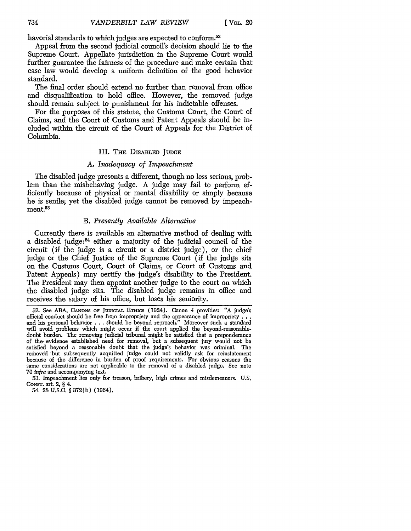havorial standards to which judges are expected to conform.<sup>52</sup>

Appeal from the second judicial council's decision should lie to the Supreme Court. Appellate jurisdiction in the Supreme Court would further guarantee the fairness of the procedure and make certain that case law would develop a uniform definition of the good behavior standard.

The final order should extend no further than removal from office and disqualification to hold office. However, the removed judge should remain subject to punishment for his indictable offenses.

For the purposes of this statute, the Customs Court, the Court of Claims, and the Court of Customs and Patent Appeals should be included within the circuit of the Court of Appeals for the District of Columbia.

# III. THE DISABLED JUDGE

# *A. Inadequacy of Impeachment*

The disabled judge presents a different, though no less serious, problem than the misbehaving judge. A judge may fail to perform efficiently because of physical or mental disability or simply because he is senile; yet the disabled judge cannot be removed by impeach $m$ ent.<sup>53</sup>

# *B. Presently Available Alternative*

Currently there is available an alternative method of dealing with a disabled judge:54 either a majority of the judicial council of the circuit (if the judge is a circuit or a district judge), or the chief judge or the Chief Justice of the Supreme Court (if the judge sits on the Customs Court, Court of Claims, or Court of Customs and Patent Appeals) may certify the judge's disability to the President. The President may then appoint another judge to the court on which the disabled judge sits. The disabled judge remains in office and receives the salary of his office, but loses his seniority.

54. **28 U.S.C. § 372(b)** (1964).

<sup>52.</sup> See ABA, CANONS OF JUDICIAL ETHICS (1924). Canon 4 provides: "A judge's official conduct should be free from impropriety and the appearance of impropriety **., .** and his personal behavior . . . should be beyond reproach." Moreover such a standard will avoid problems which might occur if the court applied the beyond-reasonabledoubt burden. The removing judicial tribunal might be satisfied that a preponderance of the. evidence established need for removal, but a subsequent jury would not be satisfied beyond a reasonable doubt that the judge's behavior was criminal. The removed but subsequently acquitted judge could not validly ask for reinstatement because of the difference in burden of proof requirements. For obvious reasons the same considerations are not applicable to the removal of a disabled judge. See note 70 *infra* and accompanying text.

<sup>53.</sup> Impeachment lies only for treason, bribery, high crimes and misdemeanors. U.S. **CoNsT.** art. 2, § 4.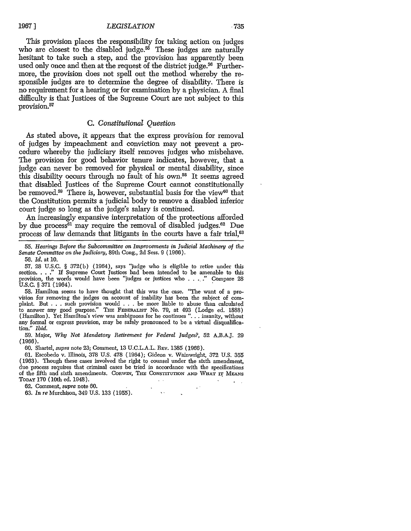#### **1967** ] *LEGISLATION* • **735**

This provision places the responsibility for taking action on judges who are closest to the disabled judge.<sup>55</sup> These judges are naturally hesitant to take such a step, and the provision has apparently been used only once and then at the request of the district judge.<sup>56</sup> Furthermore, the provision does not spell out the method whereby the responsible judges are to determine the degree of disability. There is no requirement for a hearing or for examination by a physician. A final difficulty is that Justices of the Supreme Court are not subject to this provision.<sup>57</sup>

## *C. Constitutional Question*

As stated above, it appears that the express provision for removal of judges by impeachment and conviction may not prevent a procedure whereby the judiciary itself removes judges who misbehave. The provision for good behavior tenure indicates, however, that a judge can never be removed for physical or mental disability, since this disability occurs through no fault of his own.58 It seems agreed that disabled Justices of the Supreme Court cannot constitutionally be removed.<sup>59</sup> There is, however, substantial basis for the view<sup>60</sup> that the Constitution permits a judicial body to remove a disabled inferior court judge so long as the judge's salary is continued.

An increasingly expansive interpretation of the protections afforded by due process<sup>61</sup> may require the removal of disabled judges.<sup>62</sup> Due process of law demands that litigants in the courts have a fair trial,63

55. *Hearings Before the Subcommittee on Improvements in Judicial Machinery of the Senate Committee on the Judiciary,* 89th Cong., 2d Sess. 9 (1966).

56. *Id.* at 10.

57. 28 U.S.C. § 372(b) (1964), says "judge who is eligible to retire under this section. . . ." If Supreme Court Justices had been intended to be amenable to this provision, the words would have been "judges or justices who ..... "Compare 28 U.S.C. § 371 (1964).

58. Hamilton seems to have thought that this was the case. "The want of a pro-<br>vision for removing the jndges on account of inability has been the subject of complaint. But . . . such provision would . . . be more liable to abuse than calculated to answer any good purpose." THE FEDERALIST No. 79, at 493 (Lodge ed. 1888) (Hamilton). Yet Hamilton's view was ambiguous for he continues ". **.** . insanity, without any formal or express provision, may be safely pronounced to be a virtual disqualification." *Ibid.*

59. Major, *Why Not Mandatory Retirement for Federal Judges?,* 52 A.B.A.J. 29 (1966).

60. Shartel, *supra* note 23; Comment, 13 U.C.L.A.L. REv. 1385 (1966).

61. Escobedo v. Illinois, 378 U.S. 478 (1964); Gideon v. Wainwright, **372** U.S. 355 (1963). Though these cases involved the right to counsel under the sixth amendment, due process requires that criminal cases be tried in accordance with the specifications of the fifth and sixth amendments. **CORWrn,** Tim CoNsTrrumON **AND WHAT** rr **MEANS TODAY 170** (10th ed. 1948).

 $\ddot{\phantom{a}}$ 

62. Comment, *supra* note **60.**

63. *In re* Murchison, 349 **U.S.** 133 (1955).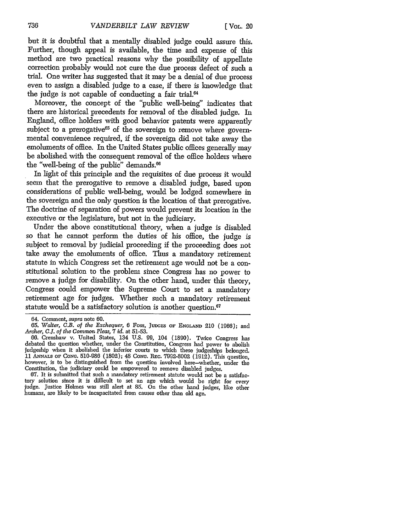but it is doubtful that a mentally disabled judge could assure this. Further, though appeal is available, the time and expense of this method are two practical reasons why the possibility of appellate correction probably would not cure the due process defect of such a trial. One writer has suggested that it may be a denial of due process even to assign a disabled judge to a case, if there is knowledge that the judge is not capable of conducting a fair trial. $64$ 

Moreover, the concept of the "public well-being" indicates that there are historical precedents for removal of the disabled judge. In England, office holders with good behavior patents were apparently subject to a prerogative<sup>65</sup> of the sovereign to remove where governmental convenience required, if the sovereign did not take away the emoluments of office. In the United States public offices generally may be abolished with the consequent removal of the office holders where the "well-being of the public" demands.<sup>66</sup>

In light of this principle and the requisites of due process it would seem that the prerogative to remove a disabled judge, based upon considerations of public well-being, would be lodged somewhere in the sovereign and the only question is the location of that prerogative. The doctrine of separation of powers would prevent its location in the executive or the legislature, but not in the judiciary.

Under the above constitutional theory, when a judge is disabled so that he cannot perform the duties of his office, the judge is subject to removal by judicial proceeding if the proceeding does not take away the emoluments of office. Thus a mandatory retirement statute in which Congress set the retirement age would not be a constitutional solution to the problem since Congress has no power to remove a judge for disability. On the other hand, under this theory, Congress could empower the Supreme Court to set a mandatory retirement age for judges. Whether such a mandatory retirement statute would be a satisfactory solution is another question.<sup>67</sup>

67. It is submitted that such a mandatory retirement statute would not be a satisfactory solution since it is difficult to set an age which would be right for every judge. Justice Holmes was still alert at 85. On the other hand judges, like other humans, are likely to be incapacitated from causes other than old age.

<sup>64.</sup> Comment, *supra* note 60.

<sup>65.</sup> *Walter,* C.B. *of the Exchequer, 6* Foss, JuDc.s **OF ENGLAND** 210 (1966); and *Archer, C.!. of the Common Pleas, 7 id.* at 51-53.

<sup>66.</sup> Crenshaw v. United States, 134 U.S. 99, 104 (1890). Twice Congress has debated the question whether, under the Constitution, Congress had power to abolish judgeship when it abolished the inferior courts to which these judgeships belonged. 11 ANNALS **OF** CONG. 510-986 (1802); 48 CONG. REG. 7992-8002 **(1912).** This question, however, is to be distinguished from the question involved here-whether, under the Constitution, the judiciary could be empowered to remove disabled judges.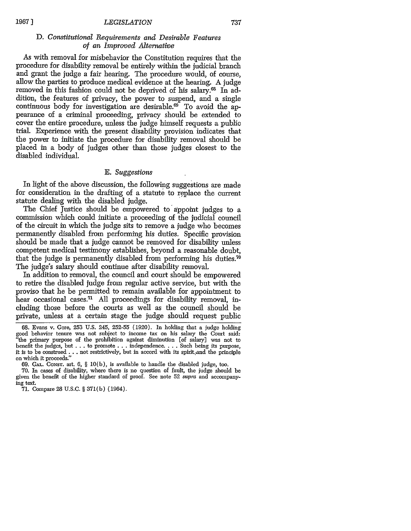#### *LEGISLATION*

# *D. Constitutional Requirements and Desirable Features of an Improved Alternative*

As with removal for misbehavior the Constitution requires that the procedure for disability removal be entirely within the judicial branch and grant the judge a fair hearing. The procedure would, of course, allow the parties to produce medical evidence at the hearing. A judge removed in this fashion could not be deprived of his salary.<sup>68</sup> In addition, the features of privacy, the power to suspend, and a single continuous body for investigation are desirable.<sup>69</sup> To avoid the appearance of a criminal proceeding, privacy should be extended to cover the entire procedure, unless the judge himself requests a public trial. Experience with the present disability provision indicates that the power to initiate the procedure for disability removal should be placed in a body of judges other than those judges closest to the disabled individual.

## *E. Suggestions*

In light of the above discussion, the following suggestions are made for consideration in the drafting of a statute to replace the current statute dealing with the disabled judge.

The Chief Justice should be empowered to appoint judges to a commission which could initiate a proceeding of the judicial council of the circuit in which the judge sits to remove a judge who becomes permanently disabled from performing his duties. Specific provision should be made that a judge cannot be removed for disability unless competent medical testimony establishes, beyond a reasonable doubt, that the judge is permanently disabled from performing his duties.<sup>70</sup> The judge's salary should continue after disability removal.

In addition to removal, the council and court should be empowered to retire the disabled judge from regular active service, but with the proviso that he be permitted to remain available for appointment to hear occasional cases.<sup>71</sup> All proceedings for disability removal, including those before the courts as well as the council should be private, unless at a certain stage the judge should request public

**1967** ]

<sup>68.</sup> Evans v. Gore, 253 U.S. 245, 252-55 (1920). In holding that a judge holding good behavior tenure was not subject to income tax on his salary the Court said: "the primary purpose of the prohibition against diminution [of salary] was not to benefit the judges, but **...** to promote **.**..independence .... Such being its purpose, it is to be construed ... not restrictively, but in accord with its spirit and the principle on which it proceeds."

<sup>69.</sup> **CAL. CONST.** art. 6, § 10(b), is available to handle the disabled judge, too.

<sup>70.</sup> In cases of disability, where there is no question of fault, the judge should be given the benefit of the higher standard of proof. See note 52 supra and accompanying text.

<sup>71.</sup> Compare 28 U.S.C. § 371(b) (1964).